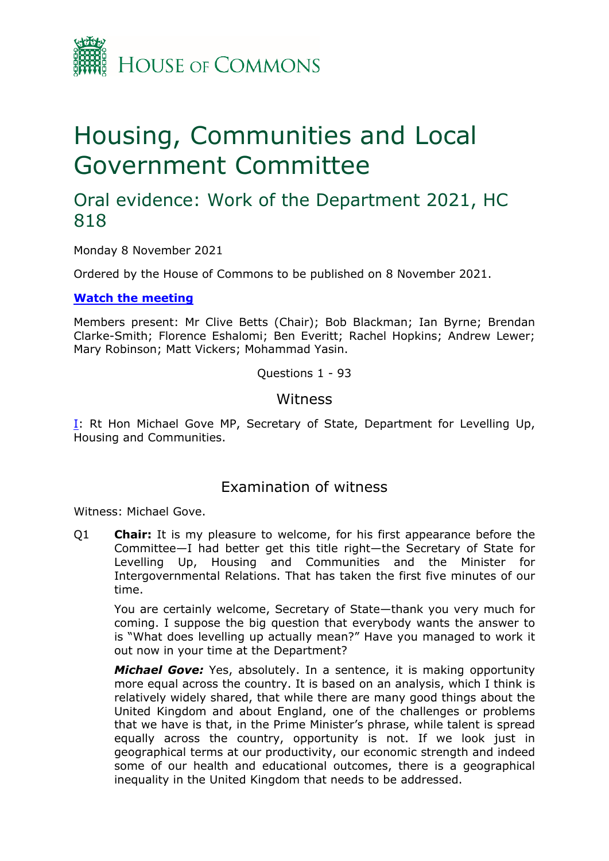

# Housing, Communities and Local Government Committee

# Oral evidence: Work of the Department 2021, HC 818

Monday 8 November 2021

Ordered by the House of Commons to be published on 8 November 2021.

#### **[Watch](https://www.parliamentlive.tv/Event/Index/d754139f-c8de-4cad-99b5-5b23207be466) [the](https://www.parliamentlive.tv/Event/Index/d754139f-c8de-4cad-99b5-5b23207be466) [meeting](https://www.parliamentlive.tv/Event/Index/d754139f-c8de-4cad-99b5-5b23207be466)**

Members present: Mr Clive Betts (Chair); Bob Blackman; Ian Byrne; Brendan Clarke-Smith; Florence Eshalomi; Ben Everitt; Rachel Hopkins; Andrew Lewer; Mary Robinson; Matt Vickers; Mohammad Yasin.

Questions 1 - 93

### **Witness**

[I:](#page-0-0) Rt Hon Michael Gove MP, Secretary of State, Department for Levelling Up, Housing and Communities.

## <span id="page-0-0"></span>Examination of witness

Witness: Michael Gove.

Q1 **Chair:** It is my pleasure to welcome, for his first appearance before the Committee—I had better get this title right—the Secretary of State for Levelling Up, Housing and Communities and the Minister for Intergovernmental Relations. That has taken the first five minutes of our time.

You are certainly welcome, Secretary of State—thank you very much for coming. I suppose the big question that everybody wants the answer to is "What does levelling up actually mean?" Have you managed to work it out now in your time at the Department?

*Michael Gove:* Yes, absolutely. In a sentence, it is making opportunity more equal across the country. It is based on an analysis, which I think is relatively widely shared, that while there are many good things about the United Kingdom and about England, one of the challenges or problems that we have is that, in the Prime Minister's phrase, while talent is spread equally across the country, opportunity is not. If we look just in geographical terms at our productivity, our economic strength and indeed some of our health and educational outcomes, there is a geographical inequality in the United Kingdom that needs to be addressed.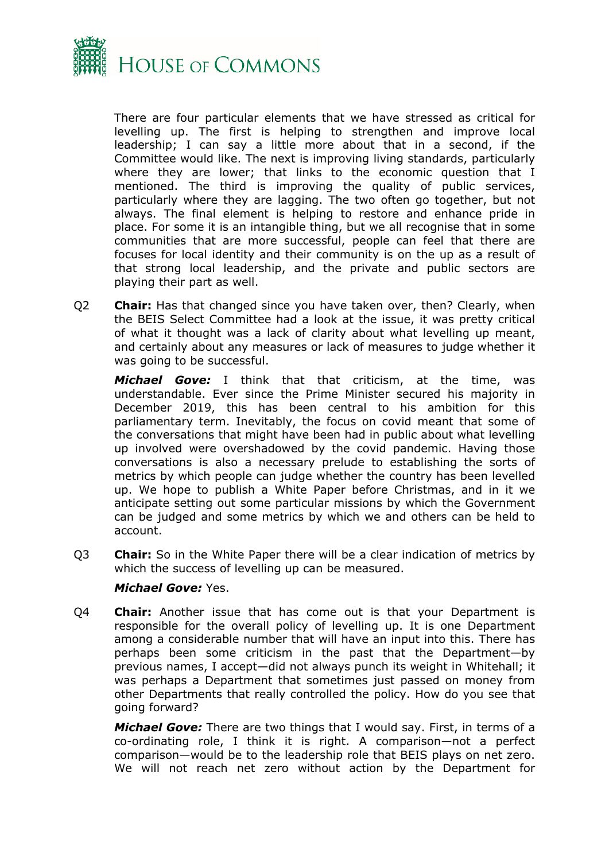

There are four particular elements that we have stressed as critical for levelling up. The first is helping to strengthen and improve local leadership; I can say a little more about that in a second, if the Committee would like. The next is improving living standards, particularly where they are lower; that links to the economic question that I mentioned. The third is improving the quality of public services, particularly where they are lagging. The two often go together, but not always. The final element is helping to restore and enhance pride in place. For some it is an intangible thing, but we all recognise that in some communities that are more successful, people can feel that there are focuses for local identity and their community is on the up as a result of that strong local leadership, and the private and public sectors are playing their part as well.

Q2 **Chair:** Has that changed since you have taken over, then? Clearly, when the BEIS Select Committee had a look at the issue, it was pretty critical of what it thought was a lack of clarity about what levelling up meant, and certainly about any measures or lack of measures to judge whether it was going to be successful.

*Michael Gove:* I think that that criticism, at the time, was understandable. Ever since the Prime Minister secured his majority in December 2019, this has been central to his ambition for this parliamentary term. Inevitably, the focus on covid meant that some of the conversations that might have been had in public about what levelling up involved were overshadowed by the covid pandemic. Having those conversations is also a necessary prelude to establishing the sorts of metrics by which people can judge whether the country has been levelled up. We hope to publish a White Paper before Christmas, and in it we anticipate setting out some particular missions by which the Government can be judged and some metrics by which we and others can be held to account.

Q3 **Chair:** So in the White Paper there will be a clear indication of metrics by which the success of levelling up can be measured.

#### *Michael Gove:* Yes.

Q4 **Chair:** Another issue that has come out is that your Department is responsible for the overall policy of levelling up. It is one Department among a considerable number that will have an input into this. There has perhaps been some criticism in the past that the Department—by previous names, I accept—did not always punch its weight in Whitehall; it was perhaps a Department that sometimes just passed on money from other Departments that really controlled the policy. How do you see that going forward?

*Michael Gove:* There are two things that I would say. First, in terms of a co-ordinating role, I think it is right. A comparison—not a perfect comparison—would be to the leadership role that BEIS plays on net zero. We will not reach net zero without action by the Department for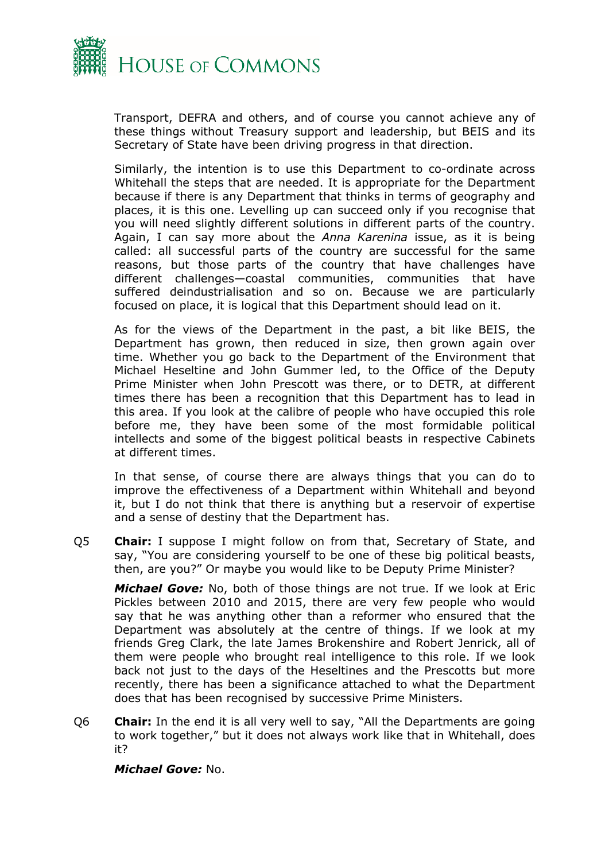

Transport, DEFRA and others, and of course you cannot achieve any of these things without Treasury support and leadership, but BEIS and its Secretary of State have been driving progress in that direction.

Similarly, the intention is to use this Department to co-ordinate across Whitehall the steps that are needed. It is appropriate for the Department because if there is any Department that thinks in terms of geography and places, it is this one. Levelling up can succeed only if you recognise that you will need slightly different solutions in different parts of the country. Again, I can say more about the *Anna Karenina* issue, as it is being called: all successful parts of the country are successful for the same reasons, but those parts of the country that have challenges have different challenges—coastal communities, communities that have suffered deindustrialisation and so on. Because we are particularly focused on place, it is logical that this Department should lead on it.

As for the views of the Department in the past, a bit like BEIS, the Department has grown, then reduced in size, then grown again over time. Whether you go back to the Department of the Environment that Michael Heseltine and John Gummer led, to the Office of the Deputy Prime Minister when John Prescott was there, or to DETR, at different times there has been a recognition that this Department has to lead in this area. If you look at the calibre of people who have occupied this role before me, they have been some of the most formidable political intellects and some of the biggest political beasts in respective Cabinets at different times.

In that sense, of course there are always things that you can do to improve the effectiveness of a Department within Whitehall and beyond it, but I do not think that there is anything but a reservoir of expertise and a sense of destiny that the Department has.

Q5 **Chair:** I suppose I might follow on from that, Secretary of State, and say, "You are considering yourself to be one of these big political beasts, then, are you?" Or maybe you would like to be Deputy Prime Minister?

*Michael Gove:* No, both of those things are not true. If we look at Eric Pickles between 2010 and 2015, there are very few people who would say that he was anything other than a reformer who ensured that the Department was absolutely at the centre of things. If we look at my friends Greg Clark, the late James Brokenshire and Robert Jenrick, all of them were people who brought real intelligence to this role. If we look back not just to the days of the Heseltines and the Prescotts but more recently, there has been a significance attached to what the Department does that has been recognised by successive Prime Ministers.

Q6 **Chair:** In the end it is all very well to say, "All the Departments are going to work together," but it does not always work like that in Whitehall, does it?

*Michael Gove:* No.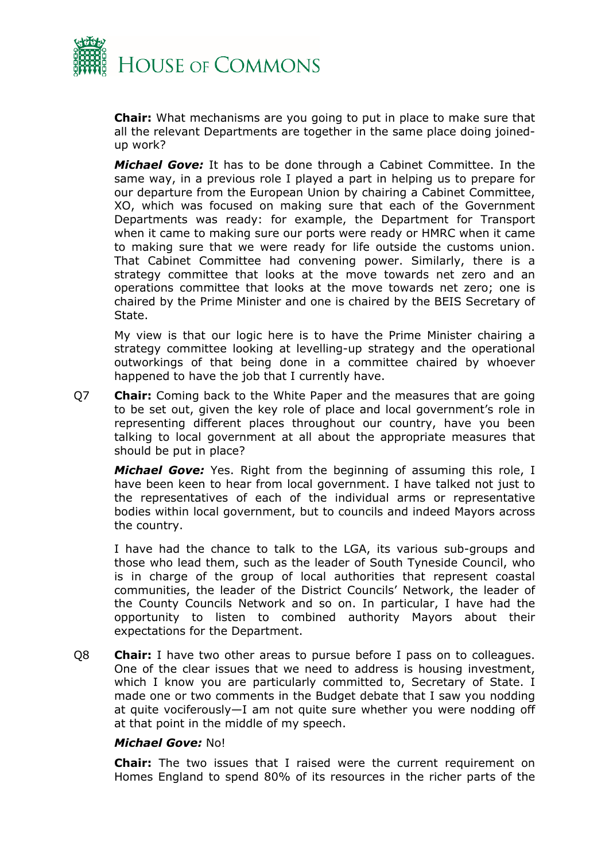

**Chair:** What mechanisms are you going to put in place to make sure that all the relevant Departments are together in the same place doing joinedup work?

*Michael Gove:* It has to be done through a Cabinet Committee. In the same way, in a previous role I played a part in helping us to prepare for our departure from the European Union by chairing a Cabinet Committee, XO, which was focused on making sure that each of the Government Departments was ready: for example, the Department for Transport when it came to making sure our ports were ready or HMRC when it came to making sure that we were ready for life outside the customs union. That Cabinet Committee had convening power. Similarly, there is a strategy committee that looks at the move towards net zero and an operations committee that looks at the move towards net zero; one is chaired by the Prime Minister and one is chaired by the BEIS Secretary of State.

My view is that our logic here is to have the Prime Minister chairing a strategy committee looking at levelling-up strategy and the operational outworkings of that being done in a committee chaired by whoever happened to have the job that I currently have.

Q7 **Chair:** Coming back to the White Paper and the measures that are going to be set out, given the key role of place and local government's role in representing different places throughout our country, have you been talking to local government at all about the appropriate measures that should be put in place?

*Michael Gove:* Yes. Right from the beginning of assuming this role, I have been keen to hear from local government. I have talked not just to the representatives of each of the individual arms or representative bodies within local government, but to councils and indeed Mayors across the country.

I have had the chance to talk to the LGA, its various sub-groups and those who lead them, such as the leader of South Tyneside Council, who is in charge of the group of local authorities that represent coastal communities, the leader of the District Councils' Network, the leader of the County Councils Network and so on. In particular, I have had the opportunity to listen to combined authority Mayors about their expectations for the Department.

Q8 **Chair:** I have two other areas to pursue before I pass on to colleagues. One of the clear issues that we need to address is housing investment, which I know you are particularly committed to, Secretary of State. I made one or two comments in the Budget debate that I saw you nodding at quite vociferously—I am not quite sure whether you were nodding off at that point in the middle of my speech.

#### *Michael Gove:* No!

**Chair:** The two issues that I raised were the current requirement on Homes England to spend 80% of its resources in the richer parts of the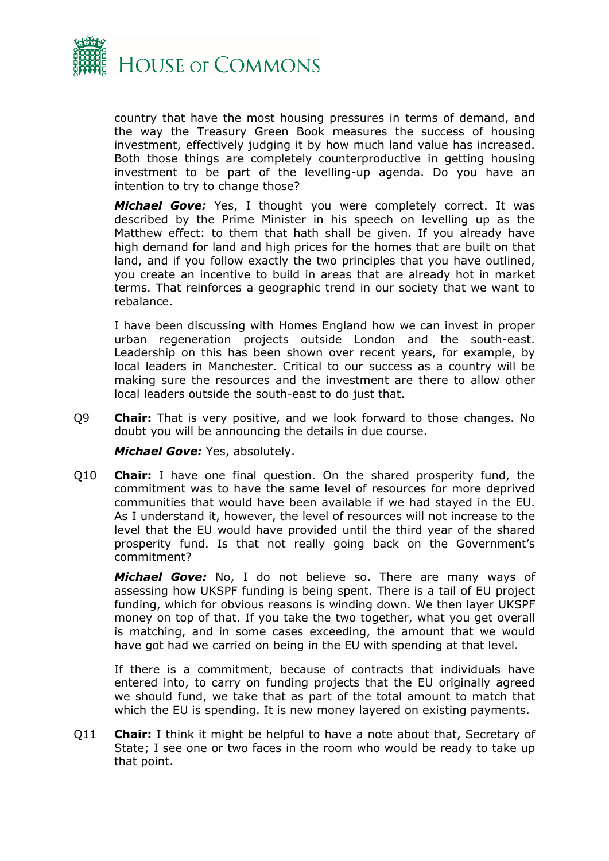

country that have the most housing pressures in terms of demand, and the way the Treasury Green Book measures the success of housing investment, effectively judging it by how much land value has increased. Both those things are completely counterproductive in getting housing investment to be part of the levelling-up agenda. Do you have an intention to try to change those?

*Michael Gove:* Yes, I thought you were completely correct. It was described by the Prime Minister in his speech on levelling up as the Matthew effect: to them that hath shall be given. If you already have high demand for land and high prices for the homes that are built on that land, and if you follow exactly the two principles that you have outlined, you create an incentive to build in areas that are already hot in market terms. That reinforces a geographic trend in our society that we want to rebalance.

I have been discussing with Homes England how we can invest in proper urban regeneration projects outside London and the south-east. Leadership on this has been shown over recent years, for example, by local leaders in Manchester. Critical to our success as a country will be making sure the resources and the investment are there to allow other local leaders outside the south-east to do just that.

Q9 **Chair:** That is very positive, and we look forward to those changes. No doubt you will be announcing the details in due course.

*Michael Gove:* Yes, absolutely.

Q10 **Chair:** I have one final question. On the shared prosperity fund, the commitment was to have the same level of resources for more deprived communities that would have been available if we had stayed in the EU. As I understand it, however, the level of resources will not increase to the level that the EU would have provided until the third year of the shared prosperity fund. Is that not really going back on the Government's commitment?

*Michael Gove:* No, I do not believe so. There are many ways of assessing how UKSPF funding is being spent. There is a tail of EU project funding, which for obvious reasons is winding down. We then layer UKSPF money on top of that. If you take the two together, what you get overall is matching, and in some cases exceeding, the amount that we would have got had we carried on being in the EU with spending at that level.

If there is a commitment, because of contracts that individuals have entered into, to carry on funding projects that the EU originally agreed we should fund, we take that as part of the total amount to match that which the EU is spending. It is new money layered on existing payments.

Q11 **Chair:** I think it might be helpful to have a note about that, Secretary of State; I see one or two faces in the room who would be ready to take up that point.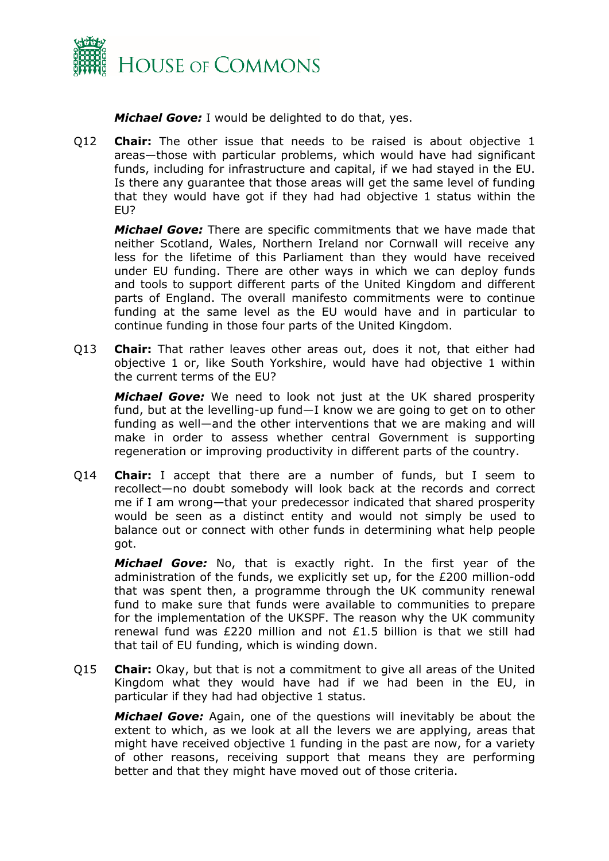

*Michael Gove:* I would be delighted to do that, yes.

Q12 **Chair:** The other issue that needs to be raised is about objective 1 areas—those with particular problems, which would have had significant funds, including for infrastructure and capital, if we had stayed in the EU. Is there any guarantee that those areas will get the same level of funding that they would have got if they had had objective 1 status within the EU?

*Michael Gove:* There are specific commitments that we have made that neither Scotland, Wales, Northern Ireland nor Cornwall will receive any less for the lifetime of this Parliament than they would have received under EU funding. There are other ways in which we can deploy funds and tools to support different parts of the United Kingdom and different parts of England. The overall manifesto commitments were to continue funding at the same level as the EU would have and in particular to continue funding in those four parts of the United Kingdom.

Q13 **Chair:** That rather leaves other areas out, does it not, that either had objective 1 or, like South Yorkshire, would have had objective 1 within the current terms of the EU?

*Michael Gove:* We need to look not just at the UK shared prosperity fund, but at the levelling-up fund—I know we are going to get on to other funding as well—and the other interventions that we are making and will make in order to assess whether central Government is supporting regeneration or improving productivity in different parts of the country.

Q14 **Chair:** I accept that there are a number of funds, but I seem to recollect—no doubt somebody will look back at the records and correct me if I am wrong—that your predecessor indicated that shared prosperity would be seen as a distinct entity and would not simply be used to balance out or connect with other funds in determining what help people got.

*Michael Gove:* No, that is exactly right. In the first year of the administration of the funds, we explicitly set up, for the £200 million-odd that was spent then, a programme through the UK community renewal fund to make sure that funds were available to communities to prepare for the implementation of the UKSPF. The reason why the UK community renewal fund was £220 million and not £1.5 billion is that we still had that tail of EU funding, which is winding down.

Q15 **Chair:** Okay, but that is not a commitment to give all areas of the United Kingdom what they would have had if we had been in the EU, in particular if they had had objective 1 status.

*Michael Gove:* Again, one of the questions will inevitably be about the extent to which, as we look at all the levers we are applying, areas that might have received objective 1 funding in the past are now, for a variety of other reasons, receiving support that means they are performing better and that they might have moved out of those criteria.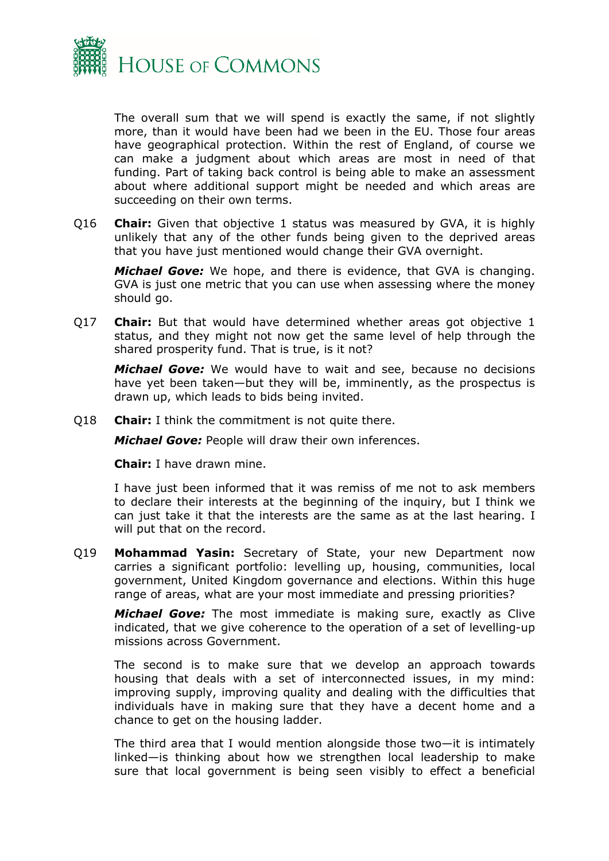

The overall sum that we will spend is exactly the same, if not slightly more, than it would have been had we been in the EU. Those four areas have geographical protection. Within the rest of England, of course we can make a judgment about which areas are most in need of that funding. Part of taking back control is being able to make an assessment about where additional support might be needed and which areas are succeeding on their own terms.

Q16 **Chair:** Given that objective 1 status was measured by GVA, it is highly unlikely that any of the other funds being given to the deprived areas that you have just mentioned would change their GVA overnight.

*Michael Gove:* We hope, and there is evidence, that GVA is changing. GVA is just one metric that you can use when assessing where the money should go.

Q17 **Chair:** But that would have determined whether areas got objective 1 status, and they might not now get the same level of help through the shared prosperity fund. That is true, is it not?

*Michael Gove:* We would have to wait and see, because no decisions have yet been taken—but they will be, imminently, as the prospectus is drawn up, which leads to bids being invited.

Q18 **Chair:** I think the commitment is not quite there.

*Michael Gove:* People will draw their own inferences.

**Chair:** I have drawn mine.

I have just been informed that it was remiss of me not to ask members to declare their interests at the beginning of the inquiry, but I think we can just take it that the interests are the same as at the last hearing. I will put that on the record.

Q19 **Mohammad Yasin:** Secretary of State, your new Department now carries a significant portfolio: levelling up, housing, communities, local government, United Kingdom governance and elections. Within this huge range of areas, what are your most immediate and pressing priorities?

*Michael Gove:* The most immediate is making sure, exactly as Clive indicated, that we give coherence to the operation of a set of levelling-up missions across Government.

The second is to make sure that we develop an approach towards housing that deals with a set of interconnected issues, in my mind: improving supply, improving quality and dealing with the difficulties that individuals have in making sure that they have a decent home and a chance to get on the housing ladder.

The third area that I would mention alongside those two—it is intimately linked—is thinking about how we strengthen local leadership to make sure that local government is being seen visibly to effect a beneficial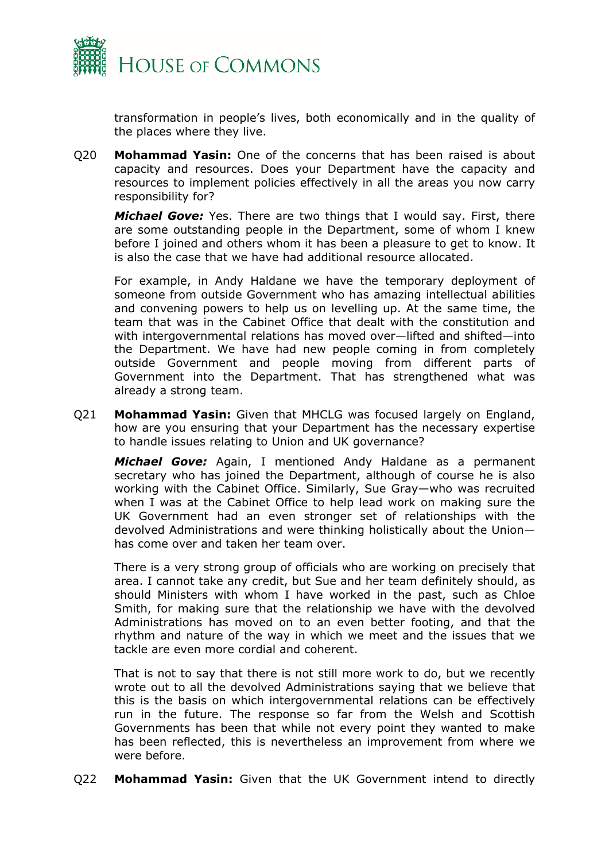

transformation in people's lives, both economically and in the quality of the places where they live.

Q20 **Mohammad Yasin:** One of the concerns that has been raised is about capacity and resources. Does your Department have the capacity and resources to implement policies effectively in all the areas you now carry responsibility for?

*Michael Gove:* Yes. There are two things that I would say. First, there are some outstanding people in the Department, some of whom I knew before I joined and others whom it has been a pleasure to get to know. It is also the case that we have had additional resource allocated.

For example, in Andy Haldane we have the temporary deployment of someone from outside Government who has amazing intellectual abilities and convening powers to help us on levelling up. At the same time, the team that was in the Cabinet Office that dealt with the constitution and with intergovernmental relations has moved over—lifted and shifted—into the Department. We have had new people coming in from completely outside Government and people moving from different parts of Government into the Department. That has strengthened what was already a strong team.

Q21 **Mohammad Yasin:** Given that MHCLG was focused largely on England, how are you ensuring that your Department has the necessary expertise to handle issues relating to Union and UK governance?

*Michael Gove:* Again, I mentioned Andy Haldane as a permanent secretary who has joined the Department, although of course he is also working with the Cabinet Office. Similarly, Sue Gray—who was recruited when I was at the Cabinet Office to help lead work on making sure the UK Government had an even stronger set of relationships with the devolved Administrations and were thinking holistically about the Union has come over and taken her team over.

There is a very strong group of officials who are working on precisely that area. I cannot take any credit, but Sue and her team definitely should, as should Ministers with whom I have worked in the past, such as Chloe Smith, for making sure that the relationship we have with the devolved Administrations has moved on to an even better footing, and that the rhythm and nature of the way in which we meet and the issues that we tackle are even more cordial and coherent.

That is not to say that there is not still more work to do, but we recently wrote out to all the devolved Administrations saying that we believe that this is the basis on which intergovernmental relations can be effectively run in the future. The response so far from the Welsh and Scottish Governments has been that while not every point they wanted to make has been reflected, this is nevertheless an improvement from where we were before.

Q22 **Mohammad Yasin:** Given that the UK Government intend to directly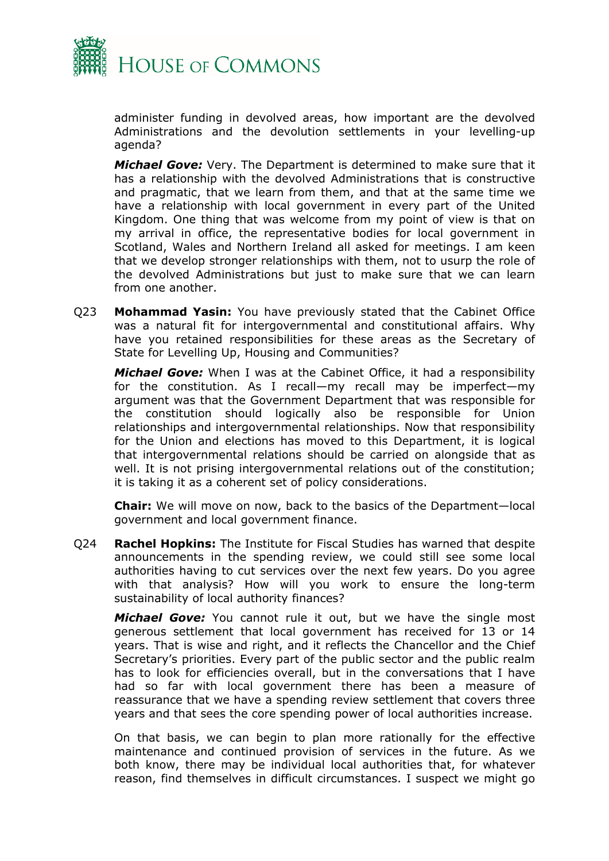

administer funding in devolved areas, how important are the devolved Administrations and the devolution settlements in your levelling-up agenda?

*Michael Gove:* Very. The Department is determined to make sure that it has a relationship with the devolved Administrations that is constructive and pragmatic, that we learn from them, and that at the same time we have a relationship with local government in every part of the United Kingdom. One thing that was welcome from my point of view is that on my arrival in office, the representative bodies for local government in Scotland, Wales and Northern Ireland all asked for meetings. I am keen that we develop stronger relationships with them, not to usurp the role of the devolved Administrations but just to make sure that we can learn from one another.

Q23 **Mohammad Yasin:** You have previously stated that the Cabinet Office was a natural fit for intergovernmental and constitutional affairs. Why have you retained responsibilities for these areas as the Secretary of State for Levelling Up, Housing and Communities?

*Michael Gove:* When I was at the Cabinet Office, it had a responsibility for the constitution. As I recall—my recall may be imperfect—my argument was that the Government Department that was responsible for the constitution should logically also be responsible for Union relationships and intergovernmental relationships. Now that responsibility for the Union and elections has moved to this Department, it is logical that intergovernmental relations should be carried on alongside that as well. It is not prising intergovernmental relations out of the constitution; it is taking it as a coherent set of policy considerations.

**Chair:** We will move on now, back to the basics of the Department—local government and local government finance.

Q24 **Rachel Hopkins:** The Institute for Fiscal Studies has warned that despite announcements in the spending review, we could still see some local authorities having to cut services over the next few years. Do you agree with that analysis? How will you work to ensure the long-term sustainability of local authority finances?

*Michael Gove:* You cannot rule it out, but we have the single most generous settlement that local government has received for 13 or 14 years. That is wise and right, and it reflects the Chancellor and the Chief Secretary's priorities. Every part of the public sector and the public realm has to look for efficiencies overall, but in the conversations that I have had so far with local government there has been a measure of reassurance that we have a spending review settlement that covers three years and that sees the core spending power of local authorities increase.

On that basis, we can begin to plan more rationally for the effective maintenance and continued provision of services in the future. As we both know, there may be individual local authorities that, for whatever reason, find themselves in difficult circumstances. I suspect we might go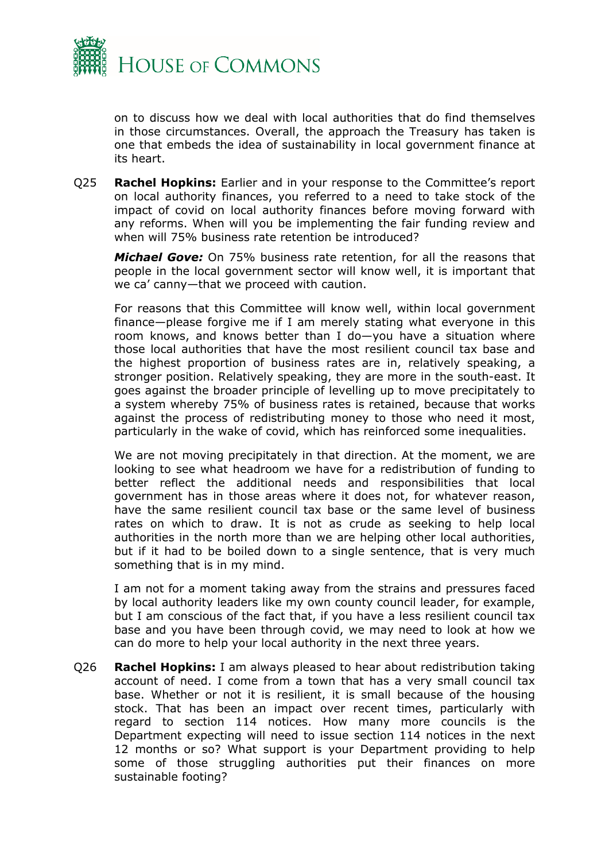

on to discuss how we deal with local authorities that do find themselves in those circumstances. Overall, the approach the Treasury has taken is one that embeds the idea of sustainability in local government finance at its heart.

Q25 **Rachel Hopkins:** Earlier and in your response to the Committee's report on local authority finances, you referred to a need to take stock of the impact of covid on local authority finances before moving forward with any reforms. When will you be implementing the fair funding review and when will 75% business rate retention be introduced?

*Michael Gove:* On 75% business rate retention, for all the reasons that people in the local government sector will know well, it is important that we ca' canny—that we proceed with caution.

For reasons that this Committee will know well, within local government finance—please forgive me if I am merely stating what everyone in this room knows, and knows better than I do—you have a situation where those local authorities that have the most resilient council tax base and the highest proportion of business rates are in, relatively speaking, a stronger position. Relatively speaking, they are more in the south-east. It goes against the broader principle of levelling up to move precipitately to a system whereby 75% of business rates is retained, because that works against the process of redistributing money to those who need it most, particularly in the wake of covid, which has reinforced some inequalities.

We are not moving precipitately in that direction. At the moment, we are looking to see what headroom we have for a redistribution of funding to better reflect the additional needs and responsibilities that local government has in those areas where it does not, for whatever reason, have the same resilient council tax base or the same level of business rates on which to draw. It is not as crude as seeking to help local authorities in the north more than we are helping other local authorities, but if it had to be boiled down to a single sentence, that is very much something that is in my mind.

I am not for a moment taking away from the strains and pressures faced by local authority leaders like my own county council leader, for example, but I am conscious of the fact that, if you have a less resilient council tax base and you have been through covid, we may need to look at how we can do more to help your local authority in the next three years.

Q26 **Rachel Hopkins:** I am always pleased to hear about redistribution taking account of need. I come from a town that has a very small council tax base. Whether or not it is resilient, it is small because of the housing stock. That has been an impact over recent times, particularly with regard to section 114 notices. How many more councils is the Department expecting will need to issue section 114 notices in the next 12 months or so? What support is your Department providing to help some of those struggling authorities put their finances on more sustainable footing?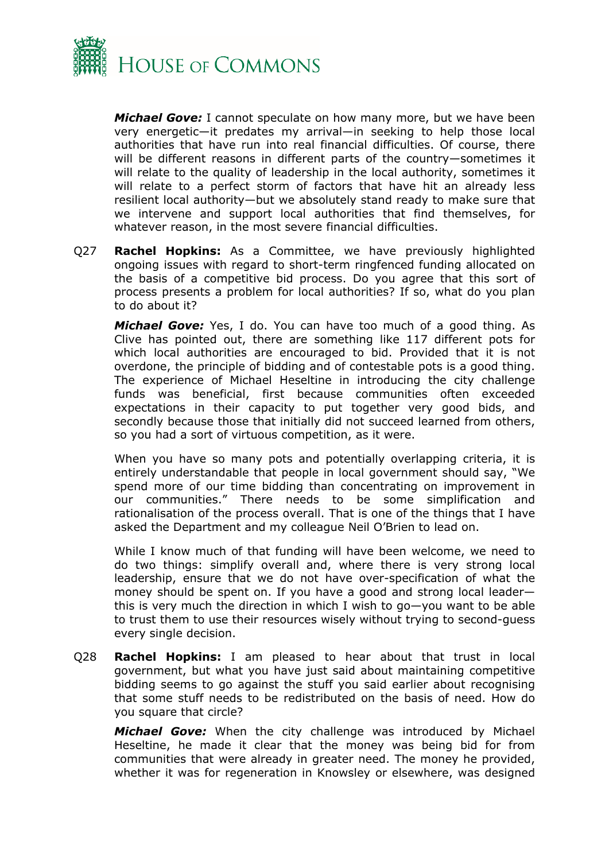

*Michael Gove:* I cannot speculate on how many more, but we have been very energetic—it predates my arrival—in seeking to help those local authorities that have run into real financial difficulties. Of course, there will be different reasons in different parts of the country—sometimes it will relate to the quality of leadership in the local authority, sometimes it will relate to a perfect storm of factors that have hit an already less resilient local authority—but we absolutely stand ready to make sure that we intervene and support local authorities that find themselves, for whatever reason, in the most severe financial difficulties.

Q27 **Rachel Hopkins:** As a Committee, we have previously highlighted ongoing issues with regard to short-term ringfenced funding allocated on the basis of a competitive bid process. Do you agree that this sort of process presents a problem for local authorities? If so, what do you plan to do about it?

*Michael Gove:* Yes, I do. You can have too much of a good thing. As Clive has pointed out, there are something like 117 different pots for which local authorities are encouraged to bid. Provided that it is not overdone, the principle of bidding and of contestable pots is a good thing. The experience of Michael Heseltine in introducing the city challenge funds was beneficial, first because communities often exceeded expectations in their capacity to put together very good bids, and secondly because those that initially did not succeed learned from others, so you had a sort of virtuous competition, as it were.

When you have so many pots and potentially overlapping criteria, it is entirely understandable that people in local government should say, "We spend more of our time bidding than concentrating on improvement in our communities." There needs to be some simplification and rationalisation of the process overall. That is one of the things that I have asked the Department and my colleague Neil O'Brien to lead on.

While I know much of that funding will have been welcome, we need to do two things: simplify overall and, where there is very strong local leadership, ensure that we do not have over-specification of what the money should be spent on. If you have a good and strong local leader this is very much the direction in which I wish to go—you want to be able to trust them to use their resources wisely without trying to second-guess every single decision.

Q28 **Rachel Hopkins:** I am pleased to hear about that trust in local government, but what you have just said about maintaining competitive bidding seems to go against the stuff you said earlier about recognising that some stuff needs to be redistributed on the basis of need. How do you square that circle?

*Michael Gove:* When the city challenge was introduced by Michael Heseltine, he made it clear that the money was being bid for from communities that were already in greater need. The money he provided, whether it was for regeneration in Knowsley or elsewhere, was designed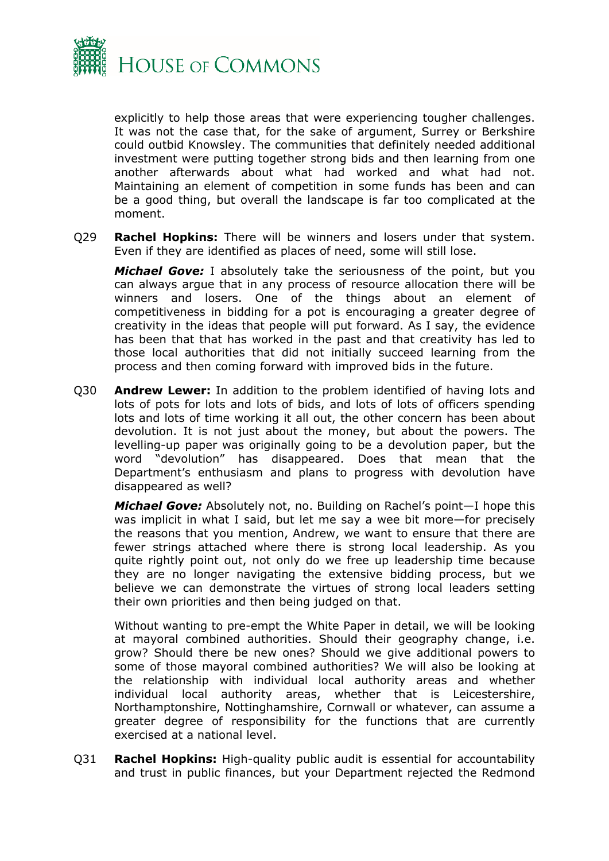

explicitly to help those areas that were experiencing tougher challenges. It was not the case that, for the sake of argument, Surrey or Berkshire could outbid Knowsley. The communities that definitely needed additional investment were putting together strong bids and then learning from one another afterwards about what had worked and what had not. Maintaining an element of competition in some funds has been and can be a good thing, but overall the landscape is far too complicated at the moment.

Q29 **Rachel Hopkins:** There will be winners and losers under that system. Even if they are identified as places of need, some will still lose.

*Michael Gove:* I absolutely take the seriousness of the point, but you can always argue that in any process of resource allocation there will be winners and losers. One of the things about an element of competitiveness in bidding for a pot is encouraging a greater degree of creativity in the ideas that people will put forward. As I say, the evidence has been that that has worked in the past and that creativity has led to those local authorities that did not initially succeed learning from the process and then coming forward with improved bids in the future.

Q30 **Andrew Lewer:** In addition to the problem identified of having lots and lots of pots for lots and lots of bids, and lots of lots of officers spending lots and lots of time working it all out, the other concern has been about devolution. It is not just about the money, but about the powers. The levelling-up paper was originally going to be a devolution paper, but the word "devolution" has disappeared. Does that mean that the Department's enthusiasm and plans to progress with devolution have disappeared as well?

*Michael Gove:* Absolutely not, no. Building on Rachel's point—I hope this was implicit in what I said, but let me say a wee bit more—for precisely the reasons that you mention, Andrew, we want to ensure that there are fewer strings attached where there is strong local leadership. As you quite rightly point out, not only do we free up leadership time because they are no longer navigating the extensive bidding process, but we believe we can demonstrate the virtues of strong local leaders setting their own priorities and then being judged on that.

Without wanting to pre-empt the White Paper in detail, we will be looking at mayoral combined authorities. Should their geography change, i.e. grow? Should there be new ones? Should we give additional powers to some of those mayoral combined authorities? We will also be looking at the relationship with individual local authority areas and whether individual local authority areas, whether that is Leicestershire, Northamptonshire, Nottinghamshire, Cornwall or whatever, can assume a greater degree of responsibility for the functions that are currently exercised at a national level.

Q31 **Rachel Hopkins:** High-quality public audit is essential for accountability and trust in public finances, but your Department rejected the Redmond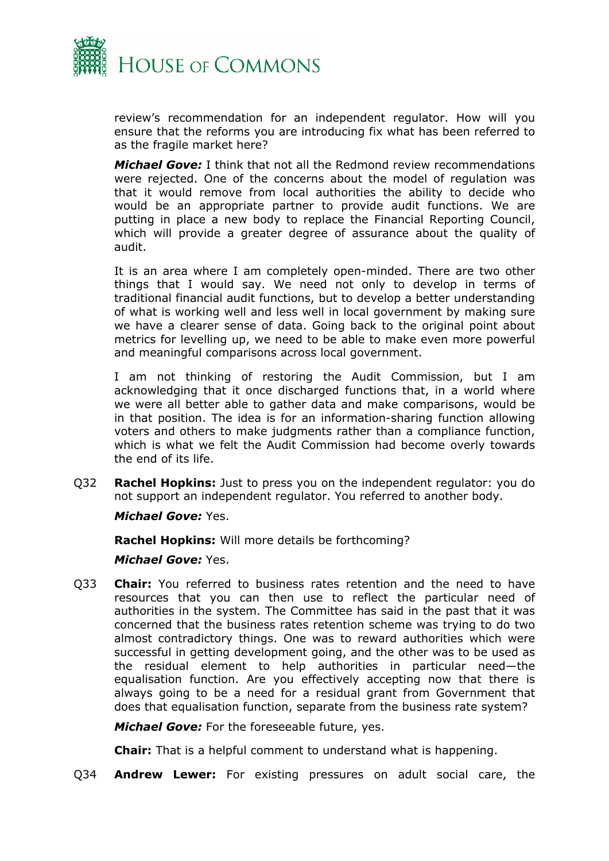

review's recommendation for an independent regulator. How will you ensure that the reforms you are introducing fix what has been referred to as the fragile market here?

*Michael Gove:* I think that not all the Redmond review recommendations were rejected. One of the concerns about the model of regulation was that it would remove from local authorities the ability to decide who would be an appropriate partner to provide audit functions. We are putting in place a new body to replace the Financial Reporting Council, which will provide a greater degree of assurance about the quality of audit.

It is an area where I am completely open-minded. There are two other things that I would say. We need not only to develop in terms of traditional financial audit functions, but to develop a better understanding of what is working well and less well in local government by making sure we have a clearer sense of data. Going back to the original point about metrics for levelling up, we need to be able to make even more powerful and meaningful comparisons across local government.

I am not thinking of restoring the Audit Commission, but I am acknowledging that it once discharged functions that, in a world where we were all better able to gather data and make comparisons, would be in that position. The idea is for an information-sharing function allowing voters and others to make judgments rather than a compliance function, which is what we felt the Audit Commission had become overly towards the end of its life.

Q32 **Rachel Hopkins:** Just to press you on the independent regulator: you do not support an independent regulator. You referred to another body.

*Michael Gove:* Yes.

**Rachel Hopkins:** Will more details be forthcoming?

*Michael Gove:* Yes.

Q33 **Chair:** You referred to business rates retention and the need to have resources that you can then use to reflect the particular need of authorities in the system. The Committee has said in the past that it was concerned that the business rates retention scheme was trying to do two almost contradictory things. One was to reward authorities which were successful in getting development going, and the other was to be used as the residual element to help authorities in particular need—the equalisation function. Are you effectively accepting now that there is always going to be a need for a residual grant from Government that does that equalisation function, separate from the business rate system?

*Michael Gove:* For the foreseeable future, yes.

**Chair:** That is a helpful comment to understand what is happening.

Q34 **Andrew Lewer:** For existing pressures on adult social care, the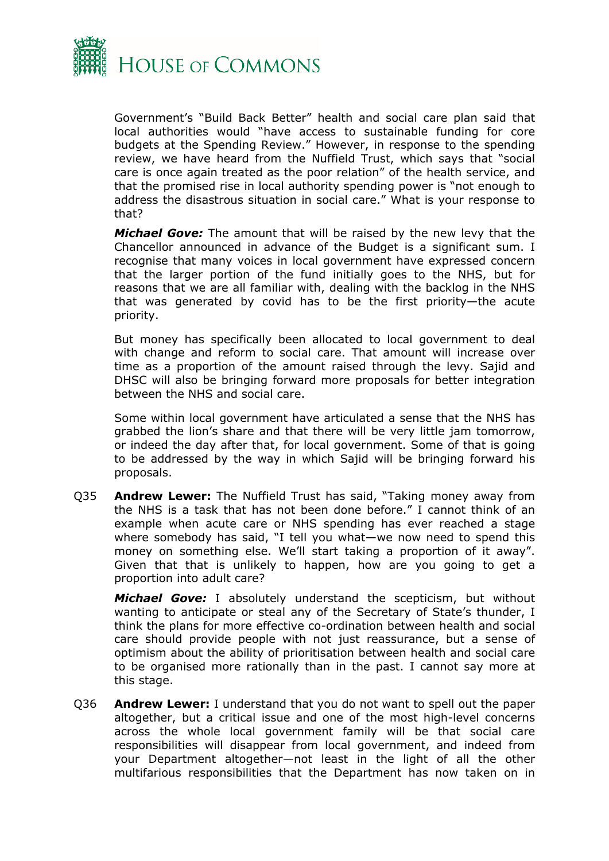

Government's "Build Back Better" health and social care plan said that local authorities would "have access to sustainable funding for core budgets at the Spending Review." However, in response to the spending review, we have heard from the Nuffield Trust, which says that "social care is once again treated as the poor relation" of the health service, and that the promised rise in local authority spending power is "not enough to address the disastrous situation in social care." What is your response to that?

*Michael Gove:* The amount that will be raised by the new levy that the Chancellor announced in advance of the Budget is a significant sum. I recognise that many voices in local government have expressed concern that the larger portion of the fund initially goes to the NHS, but for reasons that we are all familiar with, dealing with the backlog in the NHS that was generated by covid has to be the first priority—the acute priority.

But money has specifically been allocated to local government to deal with change and reform to social care. That amount will increase over time as a proportion of the amount raised through the levy. Sajid and DHSC will also be bringing forward more proposals for better integration between the NHS and social care.

Some within local government have articulated a sense that the NHS has grabbed the lion's share and that there will be very little jam tomorrow, or indeed the day after that, for local government. Some of that is going to be addressed by the way in which Sajid will be bringing forward his proposals.

Q35 **Andrew Lewer:** The Nuffield Trust has said, "Taking money away from the NHS is a task that has not been done before." I cannot think of an example when acute care or NHS spending has ever reached a stage where somebody has said, "I tell you what—we now need to spend this money on something else. We'll start taking a proportion of it away". Given that that is unlikely to happen, how are you going to get a proportion into adult care?

*Michael Gove:* I absolutely understand the scepticism, but without wanting to anticipate or steal any of the Secretary of State's thunder, I think the plans for more effective co-ordination between health and social care should provide people with not just reassurance, but a sense of optimism about the ability of prioritisation between health and social care to be organised more rationally than in the past. I cannot say more at this stage.

Q36 **Andrew Lewer:** I understand that you do not want to spell out the paper altogether, but a critical issue and one of the most high-level concerns across the whole local government family will be that social care responsibilities will disappear from local government, and indeed from your Department altogether—not least in the light of all the other multifarious responsibilities that the Department has now taken on in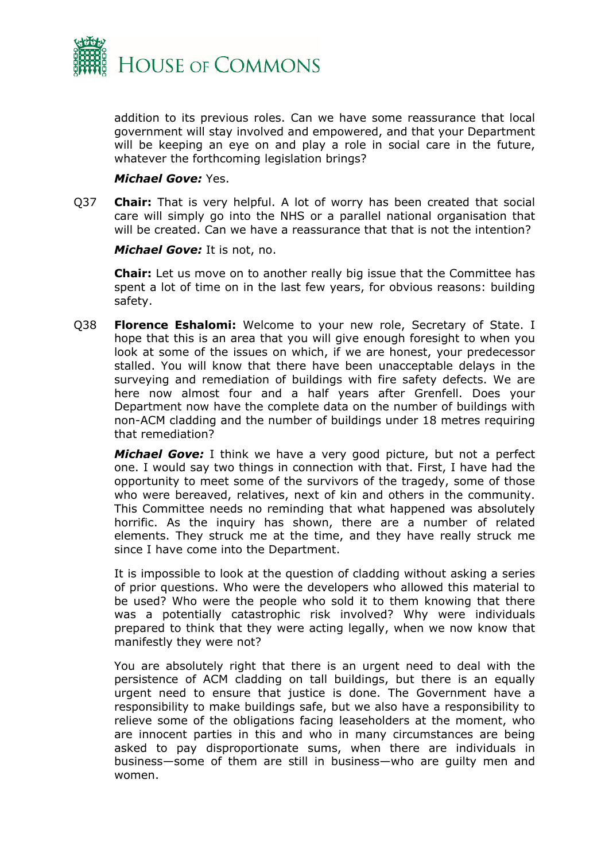

addition to its previous roles. Can we have some reassurance that local government will stay involved and empowered, and that your Department will be keeping an eye on and play a role in social care in the future, whatever the forthcoming legislation brings?

#### *Michael Gove:* Yes.

Q37 **Chair:** That is very helpful. A lot of worry has been created that social care will simply go into the NHS or a parallel national organisation that will be created. Can we have a reassurance that that is not the intention?

*Michael Gove:* It is not, no.

**Chair:** Let us move on to another really big issue that the Committee has spent a lot of time on in the last few years, for obvious reasons: building safety.

Q38 **Florence Eshalomi:** Welcome to your new role, Secretary of State. I hope that this is an area that you will give enough foresight to when you look at some of the issues on which, if we are honest, your predecessor stalled. You will know that there have been unacceptable delays in the surveying and remediation of buildings with fire safety defects. We are here now almost four and a half years after Grenfell. Does your Department now have the complete data on the number of buildings with non-ACM cladding and the number of buildings under 18 metres requiring that remediation?

*Michael Gove:* I think we have a very good picture, but not a perfect one. I would say two things in connection with that. First, I have had the opportunity to meet some of the survivors of the tragedy, some of those who were bereaved, relatives, next of kin and others in the community. This Committee needs no reminding that what happened was absolutely horrific. As the inquiry has shown, there are a number of related elements. They struck me at the time, and they have really struck me since I have come into the Department.

It is impossible to look at the question of cladding without asking a series of prior questions. Who were the developers who allowed this material to be used? Who were the people who sold it to them knowing that there was a potentially catastrophic risk involved? Why were individuals prepared to think that they were acting legally, when we now know that manifestly they were not?

You are absolutely right that there is an urgent need to deal with the persistence of ACM cladding on tall buildings, but there is an equally urgent need to ensure that justice is done. The Government have a responsibility to make buildings safe, but we also have a responsibility to relieve some of the obligations facing leaseholders at the moment, who are innocent parties in this and who in many circumstances are being asked to pay disproportionate sums, when there are individuals in business—some of them are still in business—who are guilty men and women.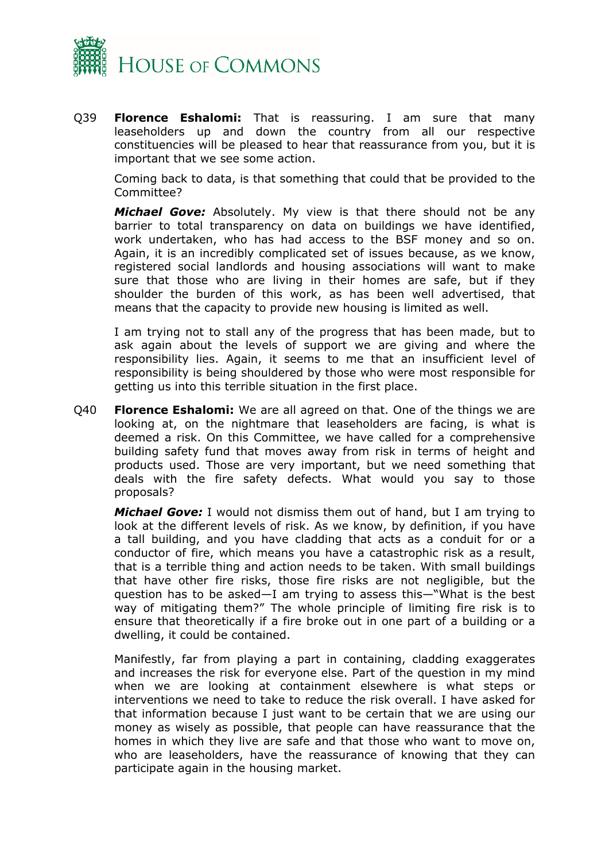

Q39 **Florence Eshalomi:** That is reassuring. I am sure that many leaseholders up and down the country from all our respective constituencies will be pleased to hear that reassurance from you, but it is important that we see some action.

Coming back to data, is that something that could that be provided to the Committee?

*Michael Gove:* Absolutely. My view is that there should not be any barrier to total transparency on data on buildings we have identified, work undertaken, who has had access to the BSF money and so on. Again, it is an incredibly complicated set of issues because, as we know, registered social landlords and housing associations will want to make sure that those who are living in their homes are safe, but if they shoulder the burden of this work, as has been well advertised, that means that the capacity to provide new housing is limited as well.

I am trying not to stall any of the progress that has been made, but to ask again about the levels of support we are giving and where the responsibility lies. Again, it seems to me that an insufficient level of responsibility is being shouldered by those who were most responsible for getting us into this terrible situation in the first place.

Q40 **Florence Eshalomi:** We are all agreed on that. One of the things we are looking at, on the nightmare that leaseholders are facing, is what is deemed a risk. On this Committee, we have called for a comprehensive building safety fund that moves away from risk in terms of height and products used. Those are very important, but we need something that deals with the fire safety defects. What would you say to those proposals?

*Michael Gove:* I would not dismiss them out of hand, but I am trying to look at the different levels of risk. As we know, by definition, if you have a tall building, and you have cladding that acts as a conduit for or a conductor of fire, which means you have a catastrophic risk as a result, that is a terrible thing and action needs to be taken. With small buildings that have other fire risks, those fire risks are not negligible, but the question has to be asked—I am trying to assess this—"What is the best way of mitigating them?" The whole principle of limiting fire risk is to ensure that theoretically if a fire broke out in one part of a building or a dwelling, it could be contained.

Manifestly, far from playing a part in containing, cladding exaggerates and increases the risk for everyone else. Part of the question in my mind when we are looking at containment elsewhere is what steps or interventions we need to take to reduce the risk overall. I have asked for that information because I just want to be certain that we are using our money as wisely as possible, that people can have reassurance that the homes in which they live are safe and that those who want to move on, who are leaseholders, have the reassurance of knowing that they can participate again in the housing market.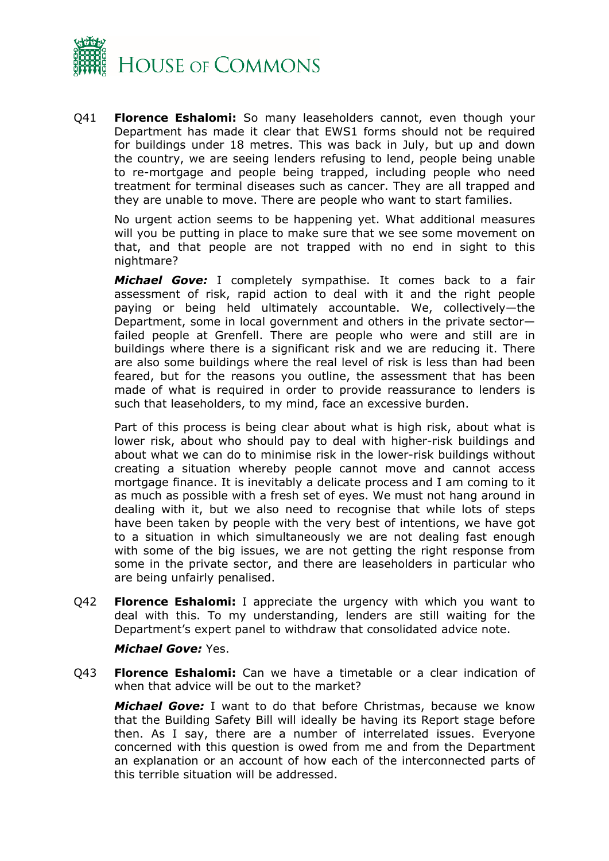

Q41 **Florence Eshalomi:** So many leaseholders cannot, even though your Department has made it clear that EWS1 forms should not be required for buildings under 18 metres. This was back in July, but up and down the country, we are seeing lenders refusing to lend, people being unable to re-mortgage and people being trapped, including people who need treatment for terminal diseases such as cancer. They are all trapped and they are unable to move. There are people who want to start families.

No urgent action seems to be happening yet. What additional measures will you be putting in place to make sure that we see some movement on that, and that people are not trapped with no end in sight to this nightmare?

*Michael Gove:* I completely sympathise. It comes back to a fair assessment of risk, rapid action to deal with it and the right people paying or being held ultimately accountable. We, collectively—the Department, some in local government and others in the private sector failed people at Grenfell. There are people who were and still are in buildings where there is a significant risk and we are reducing it. There are also some buildings where the real level of risk is less than had been feared, but for the reasons you outline, the assessment that has been made of what is required in order to provide reassurance to lenders is such that leaseholders, to my mind, face an excessive burden.

Part of this process is being clear about what is high risk, about what is lower risk, about who should pay to deal with higher-risk buildings and about what we can do to minimise risk in the lower-risk buildings without creating a situation whereby people cannot move and cannot access mortgage finance. It is inevitably a delicate process and I am coming to it as much as possible with a fresh set of eyes. We must not hang around in dealing with it, but we also need to recognise that while lots of steps have been taken by people with the very best of intentions, we have got to a situation in which simultaneously we are not dealing fast enough with some of the big issues, we are not getting the right response from some in the private sector, and there are leaseholders in particular who are being unfairly penalised.

Q42 **Florence Eshalomi:** I appreciate the urgency with which you want to deal with this. To my understanding, lenders are still waiting for the Department's expert panel to withdraw that consolidated advice note.

#### *Michael Gove:* Yes.

Q43 **Florence Eshalomi:** Can we have a timetable or a clear indication of when that advice will be out to the market?

*Michael Gove:* I want to do that before Christmas, because we know that the Building Safety Bill will ideally be having its Report stage before then. As I say, there are a number of interrelated issues. Everyone concerned with this question is owed from me and from the Department an explanation or an account of how each of the interconnected parts of this terrible situation will be addressed.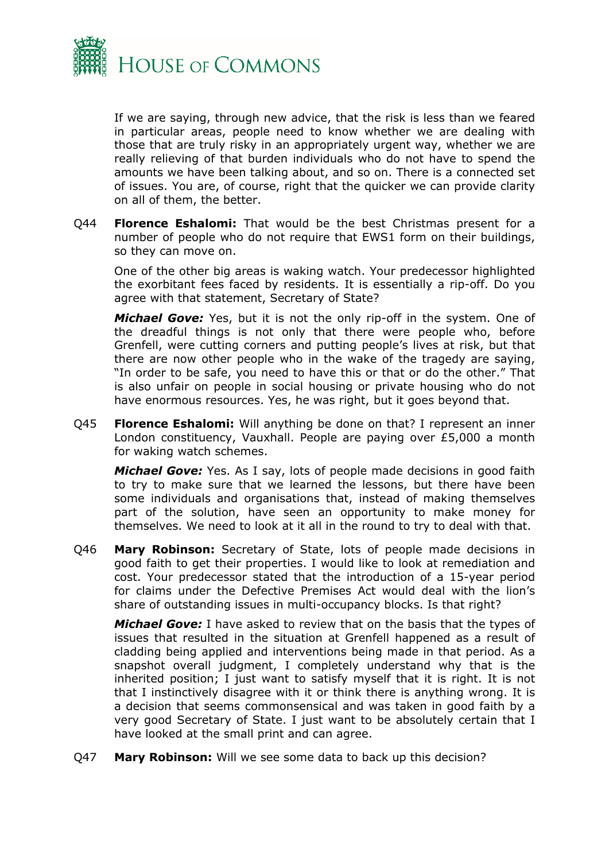

If we are saying, through new advice, that the risk is less than we feared in particular areas, people need to know whether we are dealing with those that are truly risky in an appropriately urgent way, whether we are really relieving of that burden individuals who do not have to spend the amounts we have been talking about, and so on. There is a connected set of issues. You are, of course, right that the quicker we can provide clarity on all of them, the better.

Q44 **Florence Eshalomi:** That would be the best Christmas present for a number of people who do not require that EWS1 form on their buildings, so they can move on.

One of the other big areas is waking watch. Your predecessor highlighted the exorbitant fees faced by residents. It is essentially a rip-off. Do you agree with that statement, Secretary of State?

*Michael Gove:* Yes, but it is not the only rip-off in the system. One of the dreadful things is not only that there were people who, before Grenfell, were cutting corners and putting people's lives at risk, but that there are now other people who in the wake of the tragedy are saying, "In order to be safe, you need to have this or that or do the other." That is also unfair on people in social housing or private housing who do not have enormous resources. Yes, he was right, but it goes beyond that.

Q45 **Florence Eshalomi:** Will anything be done on that? I represent an inner London constituency, Vauxhall. People are paying over £5,000 a month for waking watch schemes.

*Michael Gove:* Yes. As I say, lots of people made decisions in good faith to try to make sure that we learned the lessons, but there have been some individuals and organisations that, instead of making themselves part of the solution, have seen an opportunity to make money for themselves. We need to look at it all in the round to try to deal with that.

Q46 **Mary Robinson:** Secretary of State, lots of people made decisions in good faith to get their properties. I would like to look at remediation and cost. Your predecessor stated that the introduction of a 15-year period for claims under the Defective Premises Act would deal with the lion's share of outstanding issues in multi-occupancy blocks. Is that right?

*Michael Gove:* I have asked to review that on the basis that the types of issues that resulted in the situation at Grenfell happened as a result of cladding being applied and interventions being made in that period. As a snapshot overall judgment, I completely understand why that is the inherited position; I just want to satisfy myself that it is right. It is not that I instinctively disagree with it or think there is anything wrong. It is a decision that seems commonsensical and was taken in good faith by a very good Secretary of State. I just want to be absolutely certain that I have looked at the small print and can agree.

Q47 **Mary Robinson:** Will we see some data to back up this decision?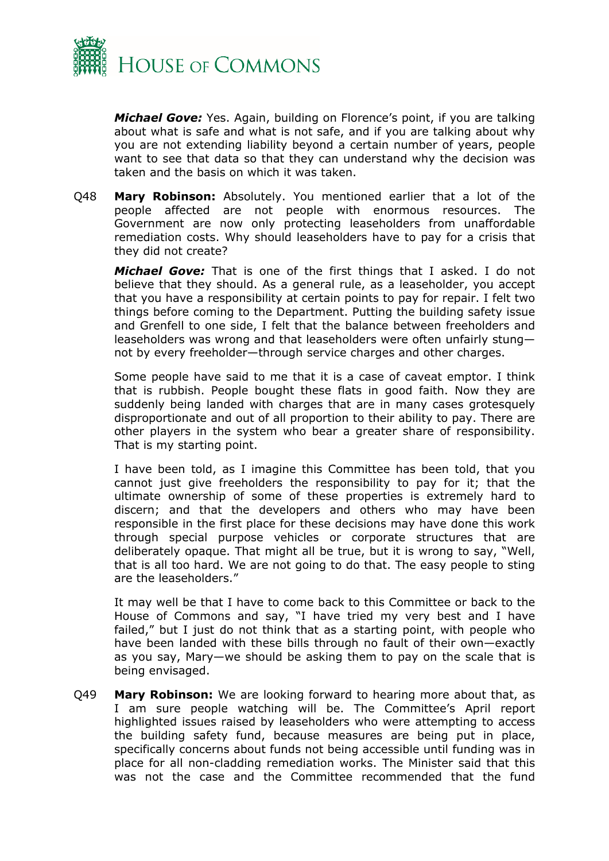

*Michael Gove:* Yes. Again, building on Florence's point, if you are talking about what is safe and what is not safe, and if you are talking about why you are not extending liability beyond a certain number of years, people want to see that data so that they can understand why the decision was taken and the basis on which it was taken.

Q48 **Mary Robinson:** Absolutely. You mentioned earlier that a lot of the people affected are not people with enormous resources. The Government are now only protecting leaseholders from unaffordable remediation costs. Why should leaseholders have to pay for a crisis that they did not create?

*Michael Gove:* That is one of the first things that I asked. I do not believe that they should. As a general rule, as a leaseholder, you accept that you have a responsibility at certain points to pay for repair. I felt two things before coming to the Department. Putting the building safety issue and Grenfell to one side, I felt that the balance between freeholders and leaseholders was wrong and that leaseholders were often unfairly stung not by every freeholder—through service charges and other charges.

Some people have said to me that it is a case of caveat emptor. I think that is rubbish. People bought these flats in good faith. Now they are suddenly being landed with charges that are in many cases grotesquely disproportionate and out of all proportion to their ability to pay. There are other players in the system who bear a greater share of responsibility. That is my starting point.

I have been told, as I imagine this Committee has been told, that you cannot just give freeholders the responsibility to pay for it; that the ultimate ownership of some of these properties is extremely hard to discern; and that the developers and others who may have been responsible in the first place for these decisions may have done this work through special purpose vehicles or corporate structures that are deliberately opaque. That might all be true, but it is wrong to say, "Well, that is all too hard. We are not going to do that. The easy people to sting are the leaseholders."

It may well be that I have to come back to this Committee or back to the House of Commons and say, "I have tried my very best and I have failed," but I just do not think that as a starting point, with people who have been landed with these bills through no fault of their own—exactly as you say, Mary—we should be asking them to pay on the scale that is being envisaged.

Q49 **Mary Robinson:** We are looking forward to hearing more about that, as I am sure people watching will be. The Committee's April report highlighted issues raised by leaseholders who were attempting to access the building safety fund, because measures are being put in place, specifically concerns about funds not being accessible until funding was in place for all non-cladding remediation works. The Minister said that this was not the case and the Committee recommended that the fund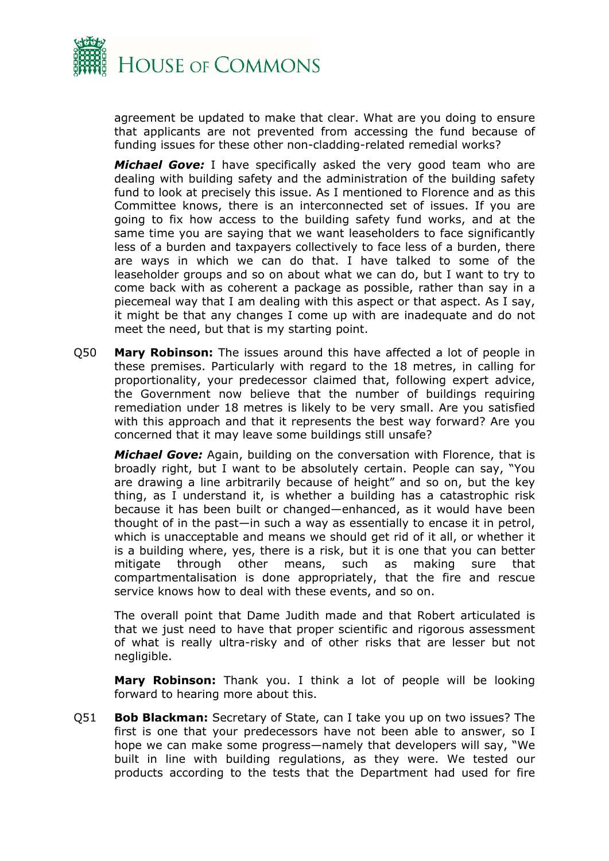

agreement be updated to make that clear. What are you doing to ensure that applicants are not prevented from accessing the fund because of funding issues for these other non-cladding-related remedial works?

*Michael Gove:* I have specifically asked the very good team who are dealing with building safety and the administration of the building safety fund to look at precisely this issue. As I mentioned to Florence and as this Committee knows, there is an interconnected set of issues. If you are going to fix how access to the building safety fund works, and at the same time you are saying that we want leaseholders to face significantly less of a burden and taxpayers collectively to face less of a burden, there are ways in which we can do that. I have talked to some of the leaseholder groups and so on about what we can do, but I want to try to come back with as coherent a package as possible, rather than say in a piecemeal way that I am dealing with this aspect or that aspect. As I say, it might be that any changes I come up with are inadequate and do not meet the need, but that is my starting point.

Q50 **Mary Robinson:** The issues around this have affected a lot of people in these premises. Particularly with regard to the 18 metres, in calling for proportionality, your predecessor claimed that, following expert advice, the Government now believe that the number of buildings requiring remediation under 18 metres is likely to be very small. Are you satisfied with this approach and that it represents the best way forward? Are you concerned that it may leave some buildings still unsafe?

*Michael Gove:* Again, building on the conversation with Florence, that is broadly right, but I want to be absolutely certain. People can say, "You are drawing a line arbitrarily because of height" and so on, but the key thing, as I understand it, is whether a building has a catastrophic risk because it has been built or changed—enhanced, as it would have been thought of in the past—in such a way as essentially to encase it in petrol, which is unacceptable and means we should get rid of it all, or whether it is a building where, yes, there is a risk, but it is one that you can better mitigate through other means, such as making sure that compartmentalisation is done appropriately, that the fire and rescue service knows how to deal with these events, and so on.

The overall point that Dame Judith made and that Robert articulated is that we just need to have that proper scientific and rigorous assessment of what is really ultra-risky and of other risks that are lesser but not negligible.

**Mary Robinson:** Thank you. I think a lot of people will be looking forward to hearing more about this.

Q51 **Bob Blackman:** Secretary of State, can I take you up on two issues? The first is one that your predecessors have not been able to answer, so I hope we can make some progress—namely that developers will say, "We built in line with building regulations, as they were. We tested our products according to the tests that the Department had used for fire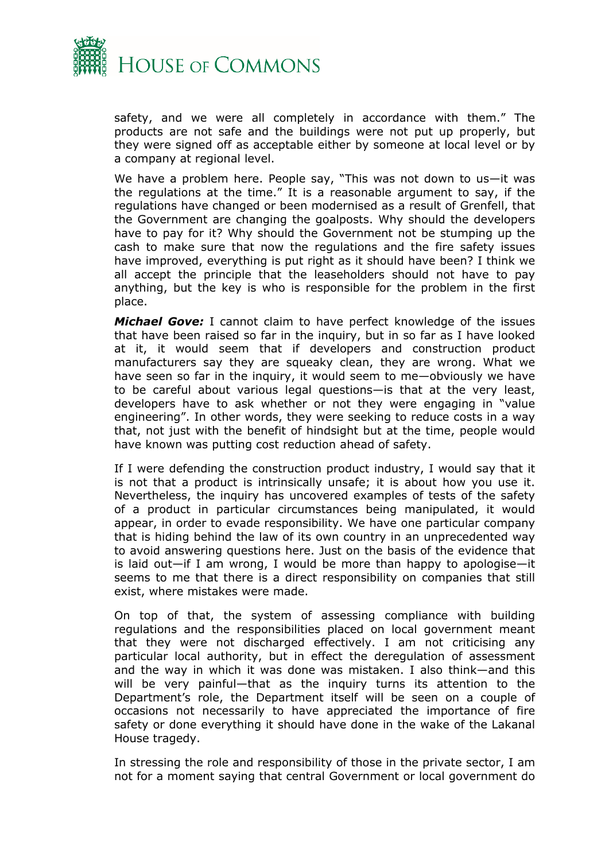

safety, and we were all completely in accordance with them." The products are not safe and the buildings were not put up properly, but they were signed off as acceptable either by someone at local level or by a company at regional level.

We have a problem here. People say, "This was not down to us—it was the regulations at the time." It is a reasonable argument to say, if the regulations have changed or been modernised as a result of Grenfell, that the Government are changing the goalposts. Why should the developers have to pay for it? Why should the Government not be stumping up the cash to make sure that now the regulations and the fire safety issues have improved, everything is put right as it should have been? I think we all accept the principle that the leaseholders should not have to pay anything, but the key is who is responsible for the problem in the first place.

*Michael Gove:* I cannot claim to have perfect knowledge of the issues that have been raised so far in the inquiry, but in so far as I have looked at it, it would seem that if developers and construction product manufacturers say they are squeaky clean, they are wrong. What we have seen so far in the inquiry, it would seem to me—obviously we have to be careful about various legal questions—is that at the very least, developers have to ask whether or not they were engaging in "value engineering". In other words, they were seeking to reduce costs in a way that, not just with the benefit of hindsight but at the time, people would have known was putting cost reduction ahead of safety.

If I were defending the construction product industry, I would say that it is not that a product is intrinsically unsafe; it is about how you use it. Nevertheless, the inquiry has uncovered examples of tests of the safety of a product in particular circumstances being manipulated, it would appear, in order to evade responsibility. We have one particular company that is hiding behind the law of its own country in an unprecedented way to avoid answering questions here. Just on the basis of the evidence that is laid out—if I am wrong, I would be more than happy to apologise—it seems to me that there is a direct responsibility on companies that still exist, where mistakes were made.

On top of that, the system of assessing compliance with building regulations and the responsibilities placed on local government meant that they were not discharged effectively. I am not criticising any particular local authority, but in effect the deregulation of assessment and the way in which it was done was mistaken. I also think—and this will be very painful—that as the inquiry turns its attention to the Department's role, the Department itself will be seen on a couple of occasions not necessarily to have appreciated the importance of fire safety or done everything it should have done in the wake of the Lakanal House tragedy.

In stressing the role and responsibility of those in the private sector, I am not for a moment saying that central Government or local government do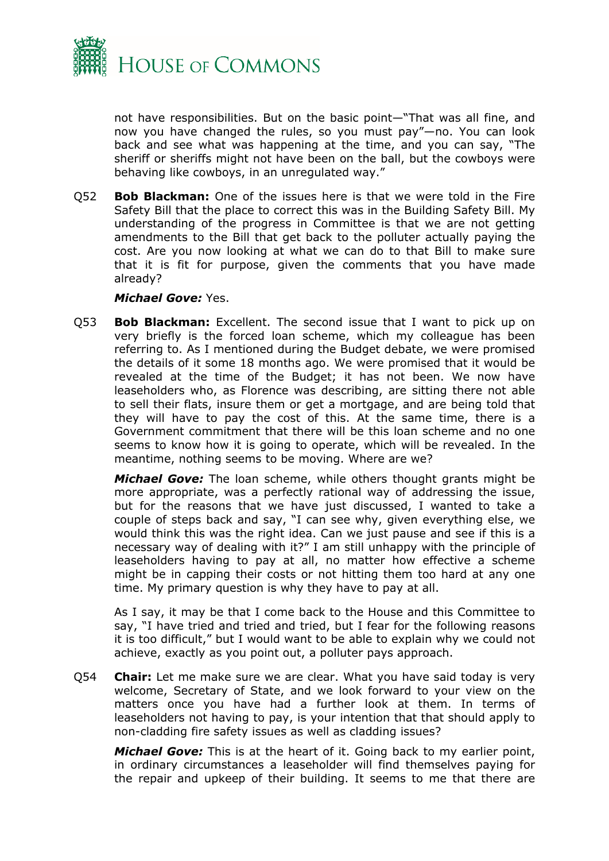

not have responsibilities. But on the basic point—"That was all fine, and now you have changed the rules, so you must pay"—no. You can look back and see what was happening at the time, and you can say, "The sheriff or sheriffs might not have been on the ball, but the cowboys were behaving like cowboys, in an unregulated way."

Q52 **Bob Blackman:** One of the issues here is that we were told in the Fire Safety Bill that the place to correct this was in the Building Safety Bill. My understanding of the progress in Committee is that we are not getting amendments to the Bill that get back to the polluter actually paying the cost. Are you now looking at what we can do to that Bill to make sure that it is fit for purpose, given the comments that you have made already?

#### *Michael Gove:* Yes.

Q53 **Bob Blackman:** Excellent. The second issue that I want to pick up on very briefly is the forced loan scheme, which my colleague has been referring to. As I mentioned during the Budget debate, we were promised the details of it some 18 months ago. We were promised that it would be revealed at the time of the Budget; it has not been. We now have leaseholders who, as Florence was describing, are sitting there not able to sell their flats, insure them or get a mortgage, and are being told that they will have to pay the cost of this. At the same time, there is a Government commitment that there will be this loan scheme and no one seems to know how it is going to operate, which will be revealed. In the meantime, nothing seems to be moving. Where are we?

*Michael Gove:* The loan scheme, while others thought grants might be more appropriate, was a perfectly rational way of addressing the issue, but for the reasons that we have just discussed, I wanted to take a couple of steps back and say, "I can see why, given everything else, we would think this was the right idea. Can we just pause and see if this is a necessary way of dealing with it?" I am still unhappy with the principle of leaseholders having to pay at all, no matter how effective a scheme might be in capping their costs or not hitting them too hard at any one time. My primary question is why they have to pay at all.

As I say, it may be that I come back to the House and this Committee to say, "I have tried and tried and tried, but I fear for the following reasons it is too difficult," but I would want to be able to explain why we could not achieve, exactly as you point out, a polluter pays approach.

Q54 **Chair:** Let me make sure we are clear. What you have said today is very welcome, Secretary of State, and we look forward to your view on the matters once you have had a further look at them. In terms of leaseholders not having to pay, is your intention that that should apply to non-cladding fire safety issues as well as cladding issues?

*Michael Gove:* This is at the heart of it. Going back to my earlier point, in ordinary circumstances a leaseholder will find themselves paying for the repair and upkeep of their building. It seems to me that there are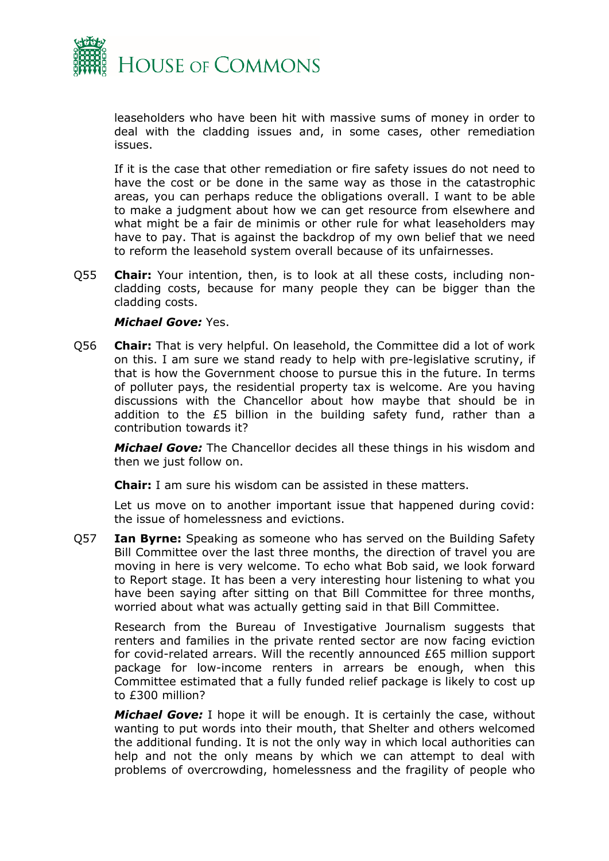

leaseholders who have been hit with massive sums of money in order to deal with the cladding issues and, in some cases, other remediation issues.

If it is the case that other remediation or fire safety issues do not need to have the cost or be done in the same way as those in the catastrophic areas, you can perhaps reduce the obligations overall. I want to be able to make a judgment about how we can get resource from elsewhere and what might be a fair de minimis or other rule for what leaseholders may have to pay. That is against the backdrop of my own belief that we need to reform the leasehold system overall because of its unfairnesses.

Q55 **Chair:** Your intention, then, is to look at all these costs, including noncladding costs, because for many people they can be bigger than the cladding costs.

#### *Michael Gove:* Yes.

Q56 **Chair:** That is very helpful. On leasehold, the Committee did a lot of work on this. I am sure we stand ready to help with pre-legislative scrutiny, if that is how the Government choose to pursue this in the future. In terms of polluter pays, the residential property tax is welcome. Are you having discussions with the Chancellor about how maybe that should be in addition to the £5 billion in the building safety fund, rather than a contribution towards it?

*Michael Gove:* The Chancellor decides all these things in his wisdom and then we just follow on.

**Chair:** I am sure his wisdom can be assisted in these matters.

Let us move on to another important issue that happened during covid: the issue of homelessness and evictions.

Q57 **Ian Byrne:** Speaking as someone who has served on the Building Safety Bill Committee over the last three months, the direction of travel you are moving in here is very welcome. To echo what Bob said, we look forward to Report stage. It has been a very interesting hour listening to what you have been saying after sitting on that Bill Committee for three months, worried about what was actually getting said in that Bill Committee.

Research from the Bureau of Investigative Journalism suggests that renters and families in the private rented sector are now facing eviction for covid-related arrears. Will the recently announced £65 million support package for low-income renters in arrears be enough, when this Committee estimated that a fully funded relief package is likely to cost up to £300 million?

*Michael Gove:* I hope it will be enough. It is certainly the case, without wanting to put words into their mouth, that Shelter and others welcomed the additional funding. It is not the only way in which local authorities can help and not the only means by which we can attempt to deal with problems of overcrowding, homelessness and the fragility of people who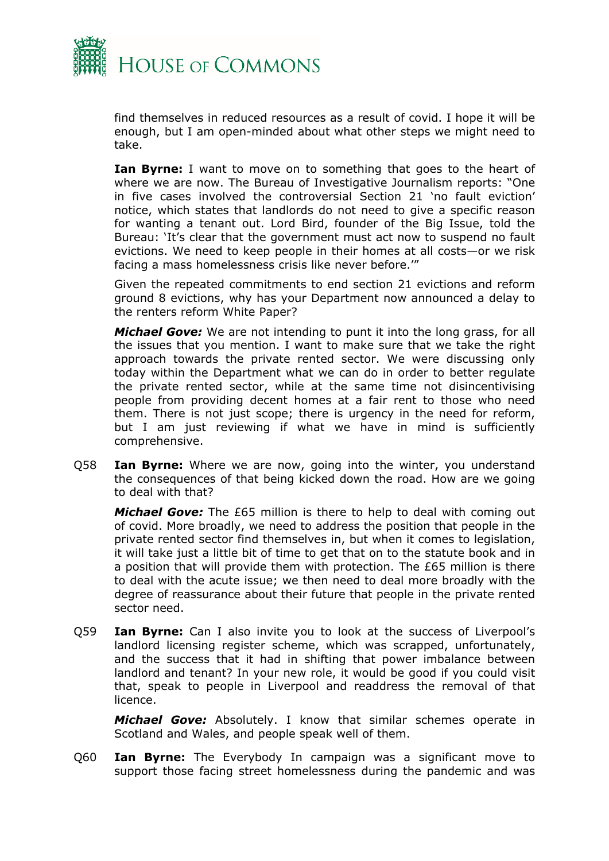

find themselves in reduced resources as a result of covid. I hope it will be enough, but I am open-minded about what other steps we might need to take.

**Ian Byrne:** I want to move on to something that goes to the heart of where we are now. The Bureau of Investigative Journalism reports: "One in five cases involved the controversial Section 21 'no fault eviction' notice, which states that landlords do not need to give a specific reason for wanting a tenant out. Lord Bird, founder of the Big Issue, told the Bureau: 'It's clear that the government must act now to suspend no fault evictions. We need to keep people in their homes at all costs—or we risk facing a mass homelessness crisis like never before.'"

Given the repeated commitments to end section 21 evictions and reform ground 8 evictions, why has your Department now announced a delay to the renters reform White Paper?

*Michael Gove:* We are not intending to punt it into the long grass, for all the issues that you mention. I want to make sure that we take the right approach towards the private rented sector. We were discussing only today within the Department what we can do in order to better regulate the private rented sector, while at the same time not disincentivising people from providing decent homes at a fair rent to those who need them. There is not just scope; there is urgency in the need for reform, but I am just reviewing if what we have in mind is sufficiently comprehensive.

Q58 **Ian Byrne:** Where we are now, going into the winter, you understand the consequences of that being kicked down the road. How are we going to deal with that?

*Michael Gove:* The £65 million is there to help to deal with coming out of covid. More broadly, we need to address the position that people in the private rented sector find themselves in, but when it comes to legislation, it will take just a little bit of time to get that on to the statute book and in a position that will provide them with protection. The £65 million is there to deal with the acute issue; we then need to deal more broadly with the degree of reassurance about their future that people in the private rented sector need.

Q59 **Ian Byrne:** Can I also invite you to look at the success of Liverpool's landlord licensing register scheme, which was scrapped, unfortunately, and the success that it had in shifting that power imbalance between landlord and tenant? In your new role, it would be good if you could visit that, speak to people in Liverpool and readdress the removal of that licence.

*Michael Gove:* Absolutely. I know that similar schemes operate in Scotland and Wales, and people speak well of them.

Q60 **Ian Byrne:** The Everybody In campaign was a significant move to support those facing street homelessness during the pandemic and was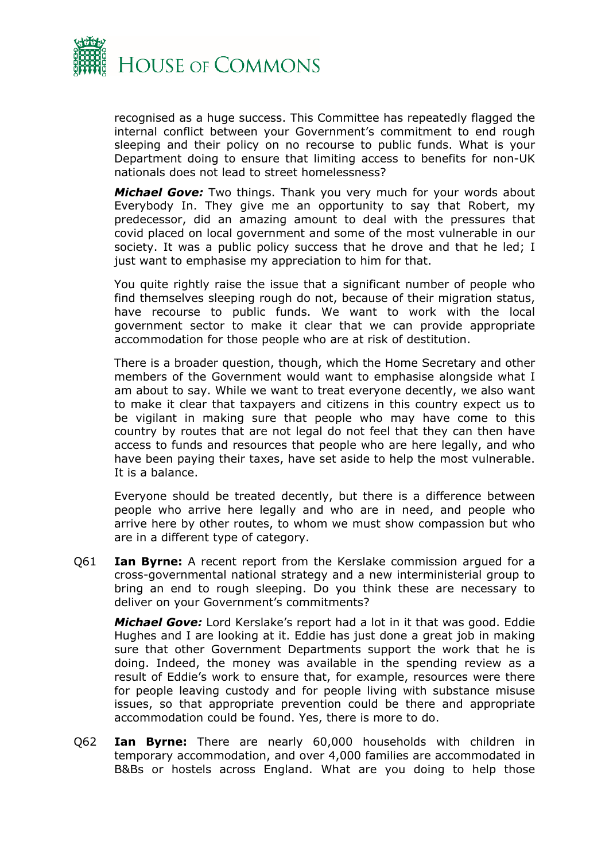

recognised as a huge success. This Committee has repeatedly flagged the internal conflict between your Government's commitment to end rough sleeping and their policy on no recourse to public funds. What is your Department doing to ensure that limiting access to benefits for non-UK nationals does not lead to street homelessness?

*Michael Gove:* Two things. Thank you very much for your words about Everybody In. They give me an opportunity to say that Robert, my predecessor, did an amazing amount to deal with the pressures that covid placed on local government and some of the most vulnerable in our society. It was a public policy success that he drove and that he led; I just want to emphasise my appreciation to him for that.

You quite rightly raise the issue that a significant number of people who find themselves sleeping rough do not, because of their migration status, have recourse to public funds. We want to work with the local government sector to make it clear that we can provide appropriate accommodation for those people who are at risk of destitution.

There is a broader question, though, which the Home Secretary and other members of the Government would want to emphasise alongside what I am about to say. While we want to treat everyone decently, we also want to make it clear that taxpayers and citizens in this country expect us to be vigilant in making sure that people who may have come to this country by routes that are not legal do not feel that they can then have access to funds and resources that people who are here legally, and who have been paying their taxes, have set aside to help the most vulnerable. It is a balance.

Everyone should be treated decently, but there is a difference between people who arrive here legally and who are in need, and people who arrive here by other routes, to whom we must show compassion but who are in a different type of category.

Q61 **Ian Byrne:** A recent report from the Kerslake commission argued for a cross-governmental national strategy and a new interministerial group to bring an end to rough sleeping. Do you think these are necessary to deliver on your Government's commitments?

*Michael Gove:* Lord Kerslake's report had a lot in it that was good. Eddie Hughes and I are looking at it. Eddie has just done a great job in making sure that other Government Departments support the work that he is doing. Indeed, the money was available in the spending review as a result of Eddie's work to ensure that, for example, resources were there for people leaving custody and for people living with substance misuse issues, so that appropriate prevention could be there and appropriate accommodation could be found. Yes, there is more to do.

Q62 **Ian Byrne:** There are nearly 60,000 households with children in temporary accommodation, and over 4,000 families are accommodated in B&Bs or hostels across England. What are you doing to help those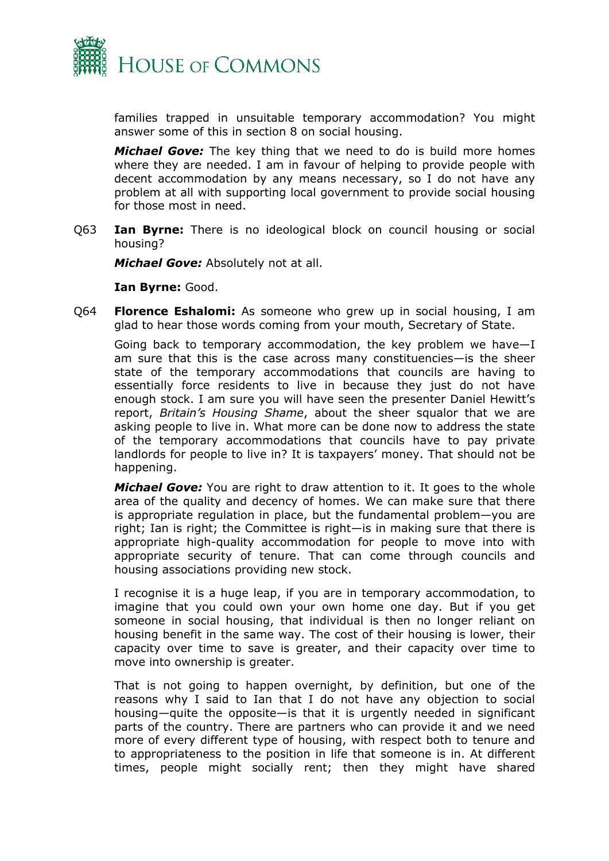

families trapped in unsuitable temporary accommodation? You might answer some of this in section 8 on social housing.

*Michael Gove:* The key thing that we need to do is build more homes where they are needed. I am in favour of helping to provide people with decent accommodation by any means necessary, so I do not have any problem at all with supporting local government to provide social housing for those most in need.

Q63 **Ian Byrne:** There is no ideological block on council housing or social housing?

*Michael Gove:* Absolutely not at all.

**Ian Byrne:** Good.

Q64 **Florence Eshalomi:** As someone who grew up in social housing, I am glad to hear those words coming from your mouth, Secretary of State.

Going back to temporary accommodation, the key problem we have—I am sure that this is the case across many constituencies—is the sheer state of the temporary accommodations that councils are having to essentially force residents to live in because they just do not have enough stock. I am sure you will have seen the presenter Daniel Hewitt's report, *Britain's Housing Shame*, about the sheer squalor that we are asking people to live in. What more can be done now to address the state of the temporary accommodations that councils have to pay private landlords for people to live in? It is taxpayers' money. That should not be happening.

*Michael Gove:* You are right to draw attention to it. It goes to the whole area of the quality and decency of homes. We can make sure that there is appropriate regulation in place, but the fundamental problem—you are right; Ian is right; the Committee is right—is in making sure that there is appropriate high-quality accommodation for people to move into with appropriate security of tenure. That can come through councils and housing associations providing new stock.

I recognise it is a huge leap, if you are in temporary accommodation, to imagine that you could own your own home one day. But if you get someone in social housing, that individual is then no longer reliant on housing benefit in the same way. The cost of their housing is lower, their capacity over time to save is greater, and their capacity over time to move into ownership is greater.

That is not going to happen overnight, by definition, but one of the reasons why I said to Ian that I do not have any objection to social housing—quite the opposite—is that it is urgently needed in significant parts of the country. There are partners who can provide it and we need more of every different type of housing, with respect both to tenure and to appropriateness to the position in life that someone is in. At different times, people might socially rent; then they might have shared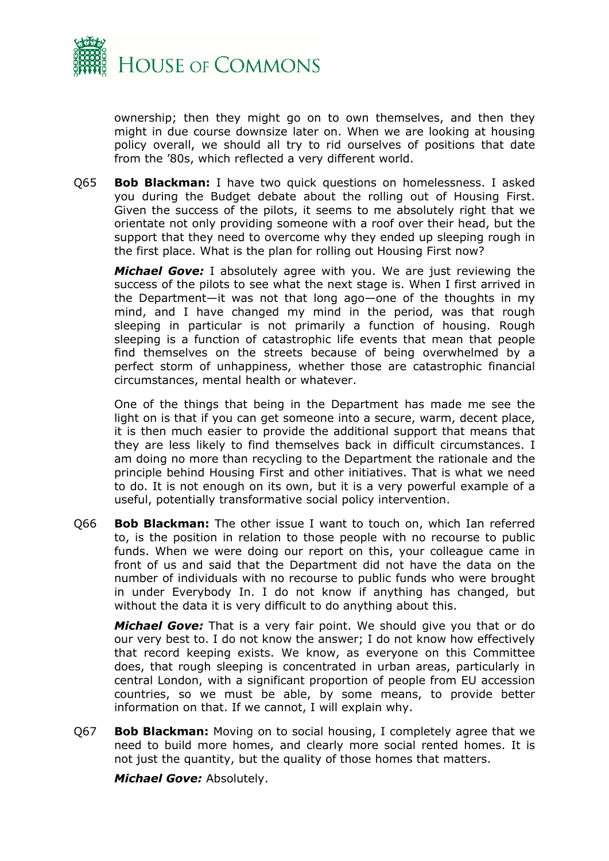

ownership; then they might go on to own themselves, and then they might in due course downsize later on. When we are looking at housing policy overall, we should all try to rid ourselves of positions that date from the '80s, which reflected a very different world.

Q65 **Bob Blackman:** I have two quick questions on homelessness. I asked you during the Budget debate about the rolling out of Housing First. Given the success of the pilots, it seems to me absolutely right that we orientate not only providing someone with a roof over their head, but the support that they need to overcome why they ended up sleeping rough in the first place. What is the plan for rolling out Housing First now?

*Michael Gove:* I absolutely agree with you. We are just reviewing the success of the pilots to see what the next stage is. When I first arrived in the Department—it was not that long ago—one of the thoughts in my mind, and I have changed my mind in the period, was that rough sleeping in particular is not primarily a function of housing. Rough sleeping is a function of catastrophic life events that mean that people find themselves on the streets because of being overwhelmed by a perfect storm of unhappiness, whether those are catastrophic financial circumstances, mental health or whatever.

One of the things that being in the Department has made me see the light on is that if you can get someone into a secure, warm, decent place, it is then much easier to provide the additional support that means that they are less likely to find themselves back in difficult circumstances. I am doing no more than recycling to the Department the rationale and the principle behind Housing First and other initiatives. That is what we need to do. It is not enough on its own, but it is a very powerful example of a useful, potentially transformative social policy intervention.

Q66 **Bob Blackman:** The other issue I want to touch on, which Ian referred to, is the position in relation to those people with no recourse to public funds. When we were doing our report on this, your colleague came in front of us and said that the Department did not have the data on the number of individuals with no recourse to public funds who were brought in under Everybody In. I do not know if anything has changed, but without the data it is very difficult to do anything about this.

*Michael Gove:* That is a very fair point. We should give you that or do our very best to. I do not know the answer; I do not know how effectively that record keeping exists. We know, as everyone on this Committee does, that rough sleeping is concentrated in urban areas, particularly in central London, with a significant proportion of people from EU accession countries, so we must be able, by some means, to provide better information on that. If we cannot, I will explain why.

Q67 **Bob Blackman:** Moving on to social housing, I completely agree that we need to build more homes, and clearly more social rented homes. It is not just the quantity, but the quality of those homes that matters.

*Michael Gove:* Absolutely.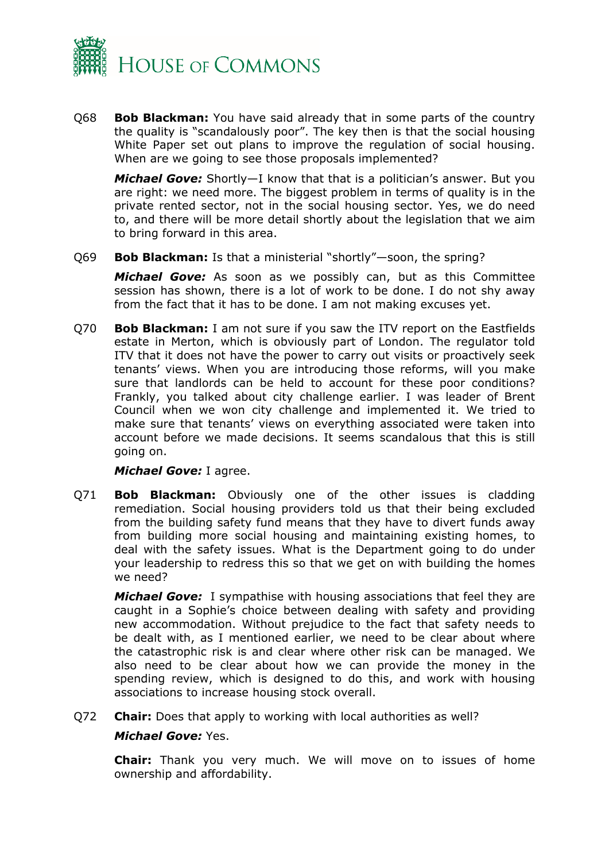

Q68 **Bob Blackman:** You have said already that in some parts of the country the quality is "scandalously poor". The key then is that the social housing White Paper set out plans to improve the regulation of social housing. When are we going to see those proposals implemented?

*Michael Gove:* Shortly—I know that that is a politician's answer. But you are right: we need more. The biggest problem in terms of quality is in the private rented sector, not in the social housing sector. Yes, we do need to, and there will be more detail shortly about the legislation that we aim to bring forward in this area.

Q69 **Bob Blackman:** Is that a ministerial "shortly"—soon, the spring?

*Michael Gove:* As soon as we possibly can, but as this Committee session has shown, there is a lot of work to be done. I do not shy away from the fact that it has to be done. I am not making excuses yet.

Q70 **Bob Blackman:** I am not sure if you saw the ITV report on the Eastfields estate in Merton, which is obviously part of London. The regulator told ITV that it does not have the power to carry out visits or proactively seek tenants' views. When you are introducing those reforms, will you make sure that landlords can be held to account for these poor conditions? Frankly, you talked about city challenge earlier. I was leader of Brent Council when we won city challenge and implemented it. We tried to make sure that tenants' views on everything associated were taken into account before we made decisions. It seems scandalous that this is still going on.

#### *Michael Gove:* I agree.

Q71 **Bob Blackman:** Obviously one of the other issues is cladding remediation. Social housing providers told us that their being excluded from the building safety fund means that they have to divert funds away from building more social housing and maintaining existing homes, to deal with the safety issues. What is the Department going to do under your leadership to redress this so that we get on with building the homes we need?

*Michael Gove:* I sympathise with housing associations that feel they are caught in a Sophie's choice between dealing with safety and providing new accommodation. Without prejudice to the fact that safety needs to be dealt with, as I mentioned earlier, we need to be clear about where the catastrophic risk is and clear where other risk can be managed. We also need to be clear about how we can provide the money in the spending review, which is designed to do this, and work with housing associations to increase housing stock overall.

Q72 **Chair:** Does that apply to working with local authorities as well?

#### *Michael Gove:* Yes.

**Chair:** Thank you very much. We will move on to issues of home ownership and affordability.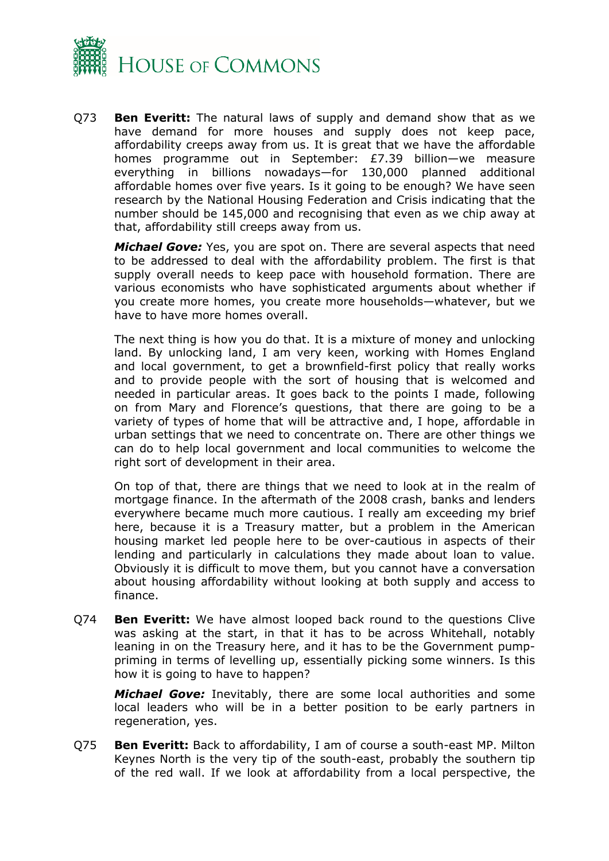

Q73 **Ben Everitt:** The natural laws of supply and demand show that as we have demand for more houses and supply does not keep pace, affordability creeps away from us. It is great that we have the affordable homes programme out in September: £7.39 billion—we measure everything in billions nowadays—for 130,000 planned additional affordable homes over five years. Is it going to be enough? We have seen research by the National Housing Federation and Crisis indicating that the number should be 145,000 and recognising that even as we chip away at that, affordability still creeps away from us.

*Michael Gove:* Yes, you are spot on. There are several aspects that need to be addressed to deal with the affordability problem. The first is that supply overall needs to keep pace with household formation. There are various economists who have sophisticated arguments about whether if you create more homes, you create more households—whatever, but we have to have more homes overall.

The next thing is how you do that. It is a mixture of money and unlocking land. By unlocking land, I am very keen, working with Homes England and local government, to get a brownfield-first policy that really works and to provide people with the sort of housing that is welcomed and needed in particular areas. It goes back to the points I made, following on from Mary and Florence's questions, that there are going to be a variety of types of home that will be attractive and, I hope, affordable in urban settings that we need to concentrate on. There are other things we can do to help local government and local communities to welcome the right sort of development in their area.

On top of that, there are things that we need to look at in the realm of mortgage finance. In the aftermath of the 2008 crash, banks and lenders everywhere became much more cautious. I really am exceeding my brief here, because it is a Treasury matter, but a problem in the American housing market led people here to be over-cautious in aspects of their lending and particularly in calculations they made about loan to value. Obviously it is difficult to move them, but you cannot have a conversation about housing affordability without looking at both supply and access to finance.

Q74 **Ben Everitt:** We have almost looped back round to the questions Clive was asking at the start, in that it has to be across Whitehall, notably leaning in on the Treasury here, and it has to be the Government pumppriming in terms of levelling up, essentially picking some winners. Is this how it is going to have to happen?

*Michael Gove:* Inevitably, there are some local authorities and some local leaders who will be in a better position to be early partners in regeneration, yes.

Q75 **Ben Everitt:** Back to affordability, I am of course a south-east MP. Milton Keynes North is the very tip of the south-east, probably the southern tip of the red wall. If we look at affordability from a local perspective, the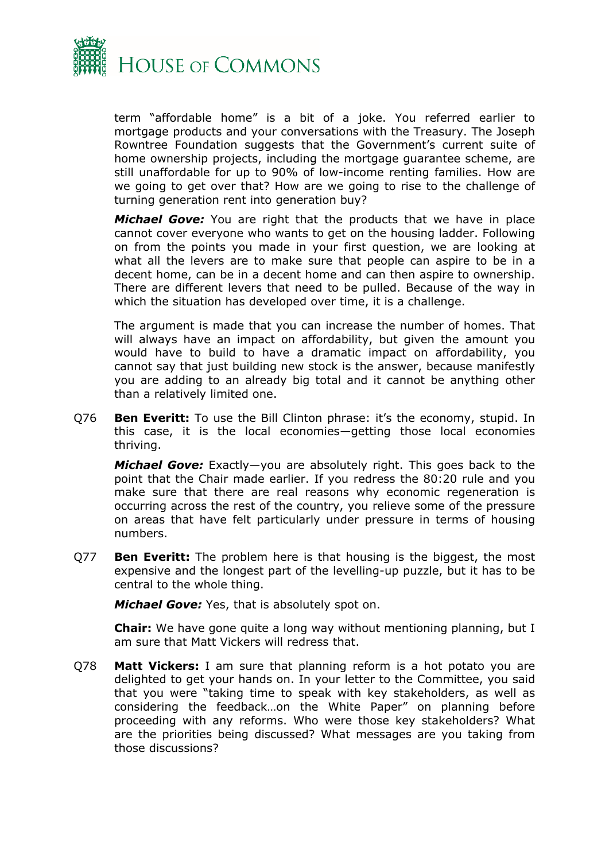

term "affordable home" is a bit of a joke. You referred earlier to mortgage products and your conversations with the Treasury. The Joseph Rowntree Foundation suggests that the Government's current suite of home ownership projects, including the mortgage guarantee scheme, are still unaffordable for up to 90% of low-income renting families. How are we going to get over that? How are we going to rise to the challenge of turning generation rent into generation buy?

*Michael Gove:* You are right that the products that we have in place cannot cover everyone who wants to get on the housing ladder. Following on from the points you made in your first question, we are looking at what all the levers are to make sure that people can aspire to be in a decent home, can be in a decent home and can then aspire to ownership. There are different levers that need to be pulled. Because of the way in which the situation has developed over time, it is a challenge.

The argument is made that you can increase the number of homes. That will always have an impact on affordability, but given the amount you would have to build to have a dramatic impact on affordability, you cannot say that just building new stock is the answer, because manifestly you are adding to an already big total and it cannot be anything other than a relatively limited one.

Q76 **Ben Everitt:** To use the Bill Clinton phrase: it's the economy, stupid. In this case, it is the local economies—getting those local economies thriving.

*Michael Gove:* Exactly—you are absolutely right. This goes back to the point that the Chair made earlier. If you redress the 80:20 rule and you make sure that there are real reasons why economic regeneration is occurring across the rest of the country, you relieve some of the pressure on areas that have felt particularly under pressure in terms of housing numbers.

Q77 **Ben Everitt:** The problem here is that housing is the biggest, the most expensive and the longest part of the levelling-up puzzle, but it has to be central to the whole thing.

*Michael Gove:* Yes, that is absolutely spot on.

**Chair:** We have gone quite a long way without mentioning planning, but I am sure that Matt Vickers will redress that.

Q78 **Matt Vickers:** I am sure that planning reform is a hot potato you are delighted to get your hands on. In your letter to the Committee, you said that you were "taking time to speak with key stakeholders, as well as considering the feedback…on the White Paper" on planning before proceeding with any reforms. Who were those key stakeholders? What are the priorities being discussed? What messages are you taking from those discussions?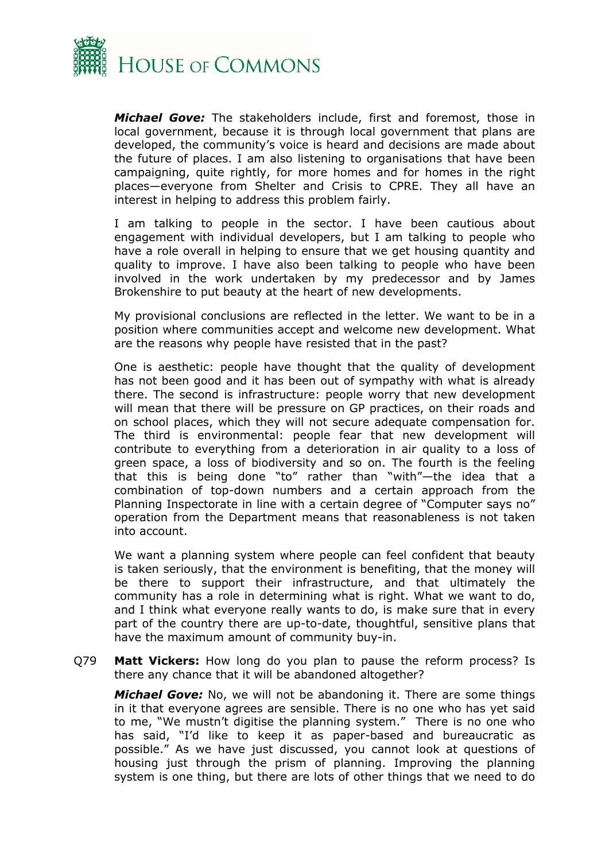

*Michael Gove:* The stakeholders include, first and foremost, those in local government, because it is through local government that plans are developed, the community's voice is heard and decisions are made about the future of places. I am also listening to organisations that have been campaigning, quite rightly, for more homes and for homes in the right places—everyone from Shelter and Crisis to CPRE. They all have an interest in helping to address this problem fairly.

I am talking to people in the sector. I have been cautious about engagement with individual developers, but I am talking to people who have a role overall in helping to ensure that we get housing quantity and quality to improve. I have also been talking to people who have been involved in the work undertaken by my predecessor and by James Brokenshire to put beauty at the heart of new developments.

My provisional conclusions are reflected in the letter. We want to be in a position where communities accept and welcome new development. What are the reasons why people have resisted that in the past?

One is aesthetic: people have thought that the quality of development has not been good and it has been out of sympathy with what is already there. The second is infrastructure: people worry that new development will mean that there will be pressure on GP practices, on their roads and on school places, which they will not secure adequate compensation for. The third is environmental: people fear that new development will contribute to everything from a deterioration in air quality to a loss of green space, a loss of biodiversity and so on. The fourth is the feeling that this is being done "to" rather than "with"—the idea that a combination of top-down numbers and a certain approach from the Planning Inspectorate in line with a certain degree of "Computer says no" operation from the Department means that reasonableness is not taken into account.

We want a planning system where people can feel confident that beauty is taken seriously, that the environment is benefiting, that the money will be there to support their infrastructure, and that ultimately the community has a role in determining what is right. What we want to do, and I think what everyone really wants to do, is make sure that in every part of the country there are up-to-date, thoughtful, sensitive plans that have the maximum amount of community buy-in.

Q79 **Matt Vickers:** How long do you plan to pause the reform process? Is there any chance that it will be abandoned altogether?

*Michael Gove:* No, we will not be abandoning it. There are some things in it that everyone agrees are sensible. There is no one who has yet said to me, "We mustn't digitise the planning system." There is no one who has said, "I'd like to keep it as paper-based and bureaucratic as possible." As we have just discussed, you cannot look at questions of housing just through the prism of planning. Improving the planning system is one thing, but there are lots of other things that we need to do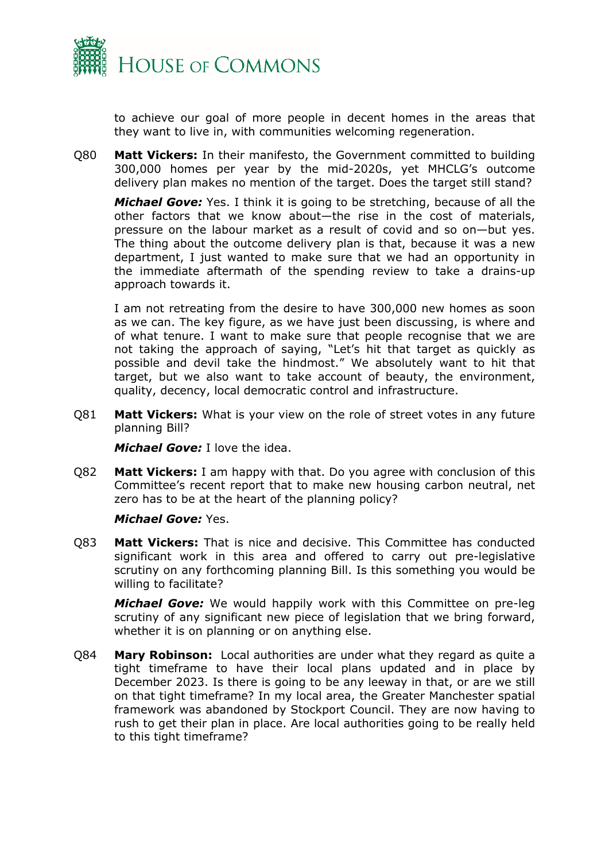

to achieve our goal of more people in decent homes in the areas that they want to live in, with communities welcoming regeneration.

Q80 **Matt Vickers:** In their manifesto, the Government committed to building 300,000 homes per year by the mid-2020s, yet MHCLG's outcome delivery plan makes no mention of the target. Does the target still stand?

*Michael Gove:* Yes. I think it is going to be stretching, because of all the other factors that we know about—the rise in the cost of materials, pressure on the labour market as a result of covid and so on—but yes. The thing about the outcome delivery plan is that, because it was a new department, I just wanted to make sure that we had an opportunity in the immediate aftermath of the spending review to take a drains-up approach towards it.

I am not retreating from the desire to have 300,000 new homes as soon as we can. The key figure, as we have just been discussing, is where and of what tenure. I want to make sure that people recognise that we are not taking the approach of saying, "Let's hit that target as quickly as possible and devil take the hindmost." We absolutely want to hit that target, but we also want to take account of beauty, the environment, quality, decency, local democratic control and infrastructure.

Q81 **Matt Vickers:** What is your view on the role of street votes in any future planning Bill?

*Michael Gove:* I love the idea.

Q82 **Matt Vickers:** I am happy with that. Do you agree with conclusion of this Committee's recent report that to make new housing carbon neutral, net zero has to be at the heart of the planning policy?

#### *Michael Gove:* Yes.

Q83 **Matt Vickers:** That is nice and decisive. This Committee has conducted significant work in this area and offered to carry out pre-legislative scrutiny on any forthcoming planning Bill. Is this something you would be willing to facilitate?

*Michael Gove:* We would happily work with this Committee on pre-leg scrutiny of any significant new piece of legislation that we bring forward, whether it is on planning or on anything else.

Q84 **Mary Robinson:** Local authorities are under what they regard as quite a tight timeframe to have their local plans updated and in place by December 2023. Is there is going to be any leeway in that, or are we still on that tight timeframe? In my local area, the Greater Manchester spatial framework was abandoned by Stockport Council. They are now having to rush to get their plan in place. Are local authorities going to be really held to this tight timeframe?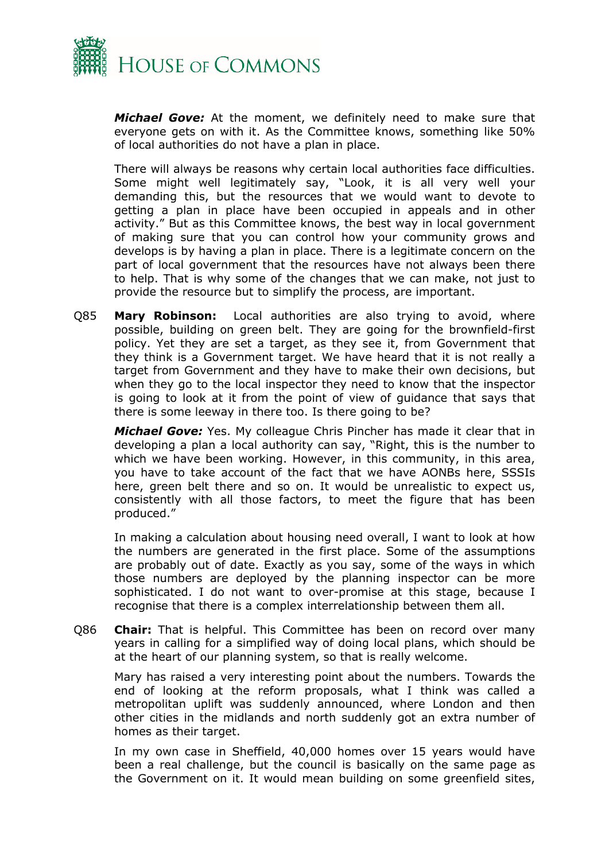

*Michael Gove:* At the moment, we definitely need to make sure that everyone gets on with it. As the Committee knows, something like 50% of local authorities do not have a plan in place.

There will always be reasons why certain local authorities face difficulties. Some might well legitimately say, "Look, it is all very well your demanding this, but the resources that we would want to devote to getting a plan in place have been occupied in appeals and in other activity." But as this Committee knows, the best way in local government of making sure that you can control how your community grows and develops is by having a plan in place. There is a legitimate concern on the part of local government that the resources have not always been there to help. That is why some of the changes that we can make, not just to provide the resource but to simplify the process, are important.

Q85 **Mary Robinson:** Local authorities are also trying to avoid, where possible, building on green belt. They are going for the brownfield-first policy. Yet they are set a target, as they see it, from Government that they think is a Government target. We have heard that it is not really a target from Government and they have to make their own decisions, but when they go to the local inspector they need to know that the inspector is going to look at it from the point of view of guidance that says that there is some leeway in there too. Is there going to be?

*Michael Gove:* Yes. My colleague Chris Pincher has made it clear that in developing a plan a local authority can say, "Right, this is the number to which we have been working. However, in this community, in this area, you have to take account of the fact that we have AONBs here, SSSIs here, green belt there and so on. It would be unrealistic to expect us, consistently with all those factors, to meet the figure that has been produced."

In making a calculation about housing need overall, I want to look at how the numbers are generated in the first place. Some of the assumptions are probably out of date. Exactly as you say, some of the ways in which those numbers are deployed by the planning inspector can be more sophisticated. I do not want to over-promise at this stage, because I recognise that there is a complex interrelationship between them all.

Q86 **Chair:** That is helpful. This Committee has been on record over many years in calling for a simplified way of doing local plans, which should be at the heart of our planning system, so that is really welcome.

Mary has raised a very interesting point about the numbers. Towards the end of looking at the reform proposals, what I think was called a metropolitan uplift was suddenly announced, where London and then other cities in the midlands and north suddenly got an extra number of homes as their target.

In my own case in Sheffield, 40,000 homes over 15 years would have been a real challenge, but the council is basically on the same page as the Government on it. It would mean building on some greenfield sites,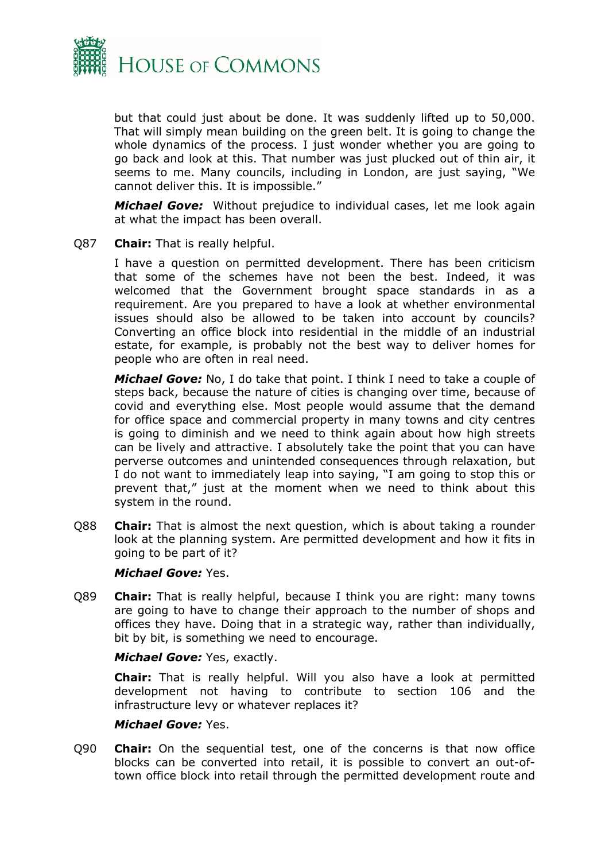

but that could just about be done. It was suddenly lifted up to 50,000. That will simply mean building on the green belt. It is going to change the whole dynamics of the process. I just wonder whether you are going to go back and look at this. That number was just plucked out of thin air, it seems to me. Many councils, including in London, are just saying, "We cannot deliver this. It is impossible."

*Michael Gove:* Without prejudice to individual cases, let me look again at what the impact has been overall.

Q87 **Chair:** That is really helpful.

I have a question on permitted development. There has been criticism that some of the schemes have not been the best. Indeed, it was welcomed that the Government brought space standards in as a requirement. Are you prepared to have a look at whether environmental issues should also be allowed to be taken into account by councils? Converting an office block into residential in the middle of an industrial estate, for example, is probably not the best way to deliver homes for people who are often in real need.

*Michael Gove:* No, I do take that point. I think I need to take a couple of steps back, because the nature of cities is changing over time, because of covid and everything else. Most people would assume that the demand for office space and commercial property in many towns and city centres is going to diminish and we need to think again about how high streets can be lively and attractive. I absolutely take the point that you can have perverse outcomes and unintended consequences through relaxation, but I do not want to immediately leap into saying, "I am going to stop this or prevent that," just at the moment when we need to think about this system in the round.

Q88 **Chair:** That is almost the next question, which is about taking a rounder look at the planning system. Are permitted development and how it fits in going to be part of it?

#### *Michael Gove:* Yes.

Q89 **Chair:** That is really helpful, because I think you are right: many towns are going to have to change their approach to the number of shops and offices they have. Doing that in a strategic way, rather than individually, bit by bit, is something we need to encourage.

#### *Michael Gove:* Yes, exactly.

**Chair:** That is really helpful. Will you also have a look at permitted development not having to contribute to section 106 and the infrastructure levy or whatever replaces it?

#### *Michael Gove:* Yes.

Q90 **Chair:** On the sequential test, one of the concerns is that now office blocks can be converted into retail, it is possible to convert an out-oftown office block into retail through the permitted development route and